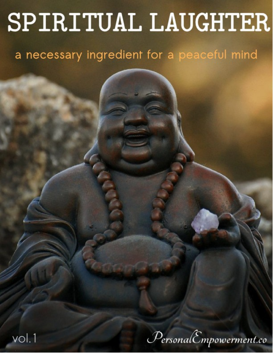# SPIRITUAL LAUGHTER

a necessary ingredient for a peaceful mind

Personal Empowerment.co

 $vol.1$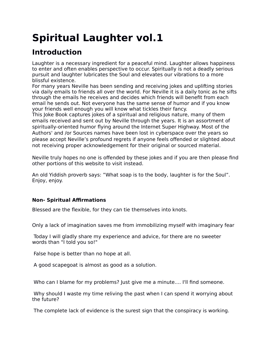# **Spiritual Laughter vol.1**

# **Introduction**

Laughter is a necessary ingredient for a peaceful mind. Laughter allows happiness to enter and often enables perspective to occur. Spiritually is not a deadly serious pursuit and laughter lubricates the Soul and elevates our vibrations to a more blissful existence.

For many years Neville has been sending and receiving jokes and uplifting stories via daily emails to friends all over the world. For Neville it is a daily tonic as he sifts through the emails he receives and decides which friends will benefit from each email he sends out. Not everyone has the same sense of humor and if you know your friends well enough you will know what tickles their fancy.

This Joke Book captures jokes of a spiritual and religious nature, many of them emails received and sent out by Neville through the years. It is an assortment of spiritually-oriented humor flying around the Internet Super Highway. Most of the Authors' and /or Sources names have been lost in cyberspace over the years so please accept Neville's profound regrets if anyone feels offended or slighted about not receiving proper acknowledgement for their original or sourced material.

Neville truly hopes no one is offended by these jokes and if you are then please find other portions of this website to visit instead.

An old Yiddish proverb says: "What soap is to the body, laughter is for the Soul". Enjoy, enjoy.

# **Non- Spiritual Affirmations**

Blessed are the flexible, for they can tie themselves into knots.

Only a lack of imagination saves me from immobilizing myself with imaginary fear

Today I will gladly share my experience and advice, for there are no sweeter words than "I told you so!"

False hope is better than no hope at all.

A good scapegoat is almost as good as a solution.

Who can I blame for my problems? Just give me a minute.... I'll find someone.

Why should I waste my time reliving the past when I can spend it worrying about the future?

The complete lack of evidence is the surest sign that the conspiracy is working.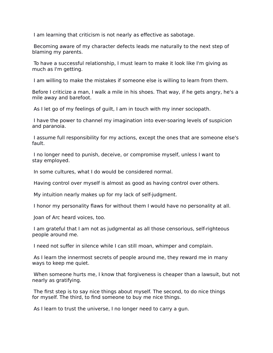I am learning that criticism is not nearly as effective as sabotage.

Becoming aware of my character defects leads me naturally to the next step of blaming my parents.

To have a successful relationship, I must learn to make it look like I'm giving as much as I'm getting.

I am willing to make the mistakes if someone else is willing to learn from them.

Before I criticize a man, I walk a mile in his shoes. That way, if he gets angry, he's a mile away and barefoot.

As I let go of my feelings of guilt, I am in touch with my inner sociopath.

I have the power to channel my imagination into ever-soaring levels of suspicion and paranoia.

I assume full responsibility for my actions, except the ones that are someone else's fault.

I no longer need to punish, deceive, or compromise myself, unless I want to stay employed.

In some cultures, what I do would be considered normal.

Having control over myself is almost as good as having control over others.

My intuition nearly makes up for my lack of self-judgment.

I honor my personality flaws for without them I would have no personality at all.

Joan of Arc heard voices, too.

I am grateful that I am not as judgmental as all those censorious, self-righteous people around me.

I need not suffer in silence while I can still moan, whimper and complain.

As I learn the innermost secrets of people around me, they reward me in many ways to keep me quiet.

When someone hurts me, I know that forgiveness is cheaper than a lawsuit, but not nearly as gratifying.

The first step is to say nice things about myself. The second, to do nice things for myself. The third, to find someone to buy me nice things.

As I learn to trust the universe, I no longer need to carry a gun.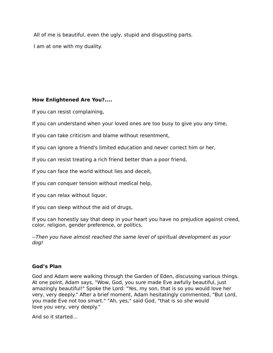All of me is beautiful, even the ugly, stupid and disgusting parts. I am at one with my duality.

# **How Enlightened Are You?....**

If you can resist complaining,

If you can understand when your loved ones are too busy to give you any time,

If you can take criticism and blame without resentment,

If you can ignore a friend's limited education and never correct him or her,

If you can resist treating a rich friend better than a poor friend,

If you can face the world without lies and deceit,

If you can conquer tension without medical help,

If you can relax without liquor,

If you can sleep without the aid of drugs,

If you can honestly say that deep in your heart you have no prejudice against creed, color, religion, gender preference, or politics,

--Then you have almost reached the same level of spiritual development as your dog!

# **God's Plan**

God and Adam were walking through the Garden of Eden, discussing various things. At one point, Adam says, "Wow, God, you sure made Eve awfully beautiful, just amazingly beautiful!" Spoke the Lord: "Yes, my son, that is so you would love her very, very deeply." After a brief moment, Adam hesitatingly commented, "But Lord, you made Eve not too smart." "Ah, yes," said God, "that is so she would love you very, very deeply."

And so it started…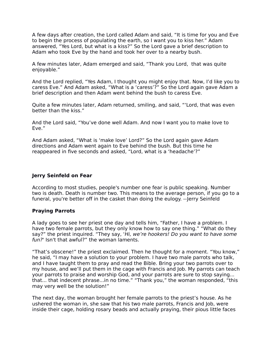A few days after creation, the Lord called Adam and said, "It is time for you and Eve to begin the process of populating the earth, so I want you to kiss her." Adam answered, "Yes Lord, but what is a kiss?" So the Lord gave a brief description to Adam who took Eve by the hand and took her over to a nearby bush.

A few minutes later, Adam emerged and said, "Thank you Lord, that was quite enjoyable."

And the Lord replied, "Yes Adam, I thought you might enjoy that. Now, I'd like you to caress Eve." And Adam asked, "What is a 'caress'?" So the Lord again gave Adam a brief description and then Adam went behind the bush to caress Eve.

Quite a few minutes later, Adam returned, smiling, and said, "'Lord, that was even better than the kiss."

And the Lord said, "You've done well Adam. And now I want you to make love to Eve."

And Adam asked, "What is 'make love' Lord?" So the Lord again gave Adam directions and Adam went again to Eve behind the bush. But this time he reappeared in five seconds and asked, "Lord, what is a 'headache'?"

#### **Jerry Seinfeld on Fear**

According to most studies, people's number one fear is public speaking. Number two is death. Death is number two. This means to the average person, if you go to a funeral, you're better off in the casket than doing the eulogy. --Jerry Seinfeld

#### **Praying Parrots**

A lady goes to see her priest one day and tells him, "Father, I have a problem. I have two female parrots, but they only know how to say one thing." "What do they say?" the priest inquired. "They say, 'Hi, we're hookers! Do you want to have some fun?' Isn't that awful?" the woman laments.

"That's obscene!" the priest exclaimed. Then he thought for a moment. "You know," he said, "I may have a solution to your problem. I have two male parrots who talk, and I have taught them to pray and read the Bible. Bring your two parrots over to my house, and we'll put them in the cage with Francis and Job. My parrots can teach your parrots to praise and worship God, and your parrots are sure to stop saying... that... that indecent phrase...in no time." "Thank you," the woman responded, "this may very well be the solution!"

The next day, the woman brought her female parrots to the priest's house. As he ushered the woman in, she saw that his two male parrots, Francis and Job, were inside their cage, holding rosary beads and actually praying, their pious little faces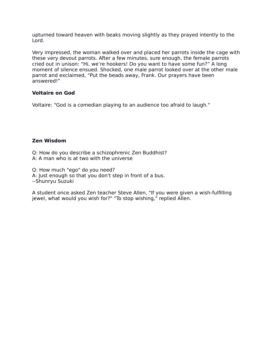upturned toward heaven with beaks moving slightly as they prayed intently to the Lord.

Very impressed, the woman walked over and placed her parrots inside the cage with these very devout parrots. After a few minutes, sure enough, the female parrots cried out in unison: "Hi, we're hookers! Do you want to have some fun?" A long moment of silence ensued. Shocked, one male parrot looked over at the other male parrot and exclaimed, "Put the beads away, Frank. Our prayers have been answered!"

# **Voltaire on God**

Voltaire: "God is a comedian playing to an audience too afraid to laugh."

# **Zen Wisdom**

Q: How do you describe a schizophrenic Zen Buddhist? A: A man who is at two with the universe

Q: How much "ego" do you need? A: Just enough so that you don't step in front of a bus. --Shunryu Suzuki

A student once asked Zen teacher Steve Allen, "If you were given a wish-fulfilling jewel, what would you wish for?" "To stop wishing," replied Allen.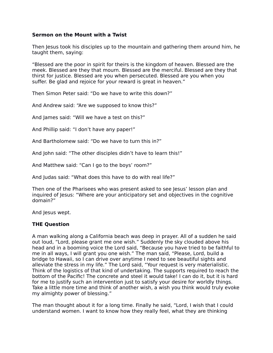# **Sermon on the Mount with a Twist**

Then Jesus took his disciples up to the mountain and gathering them around him, he taught them, saying:

"Blessed are the poor in spirit for theirs is the kingdom of heaven. Blessed are the meek. Blessed are they that mourn. Blessed are the merciful. Blessed are they that thirst for justice. Blessed are you when persecuted. Blessed are you when you suffer. Be glad and rejoice for your reward is great in heaven."

Then Simon Peter said: "Do we have to write this down?"

And Andrew said: "Are we supposed to know this?"

And James said: "Will we have a test on this?"

And Phillip said: "I don't have any paper!"

And Bartholomew said: "Do we have to turn this in?"

And John said: "The other disciples didn't have to learn this!"

And Matthew said: "Can I go to the boys' room?"

And Judas said: "What does this have to do with real life?"

Then one of the Pharisees who was present asked to see Jesus' lesson plan and inquired of Jesus: "Where are your anticipatory set and objectives in the cognitive domain?"

And Jesus wept.

# **THE Question**

A man walking along a California beach was deep in prayer. All of a sudden he said out loud, "Lord, please grant me one wish." Suddenly the sky clouded above his head and in a booming voice the Lord said, "Because you have tried to be faithful to me in all ways, I will grant you one wish." The man said, "Please, Lord, build a bridge to Hawaii, so I can drive over anytime I need to see beautiful sights and alleviate the stress in my life." The Lord said, "Your request is very materialistic. Think of the logistics of that kind of undertaking. The supports required to reach the bottom of the Pacific! The concrete and steel it would take! I can do it, but it is hard for me to justify such an intervention just to satisfy your desire for worldly things. Take a little more time and think of another wish, a wish you think would truly evoke my almighty power of blessing."

The man thought about it for a long time. Finally he said, "Lord, I wish that I could understand women. I want to know how they really feel, what they are thinking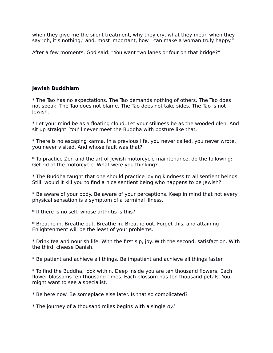when they give me the silent treatment, why they cry, what they mean when they say 'oh, it's nothing,' and, most important, how I can make a woman truly happy."

After a few moments, God said: "You want two lanes or four on that bridge?"

# **Jewish Buddhism**

\* The Tao has no expectations. The Tao demands nothing of others. The Tao does not speak. The Tao does not blame. The Tao does not take sides. The Tao is not Jewish.

\* Let your mind be as a floating cloud. Let your stillness be as the wooded glen. And sit up straight. You'll never meet the Buddha with posture like that.

\* There is no escaping karma. In a previous life, you never called, you never wrote, you never visited. And whose fault was that?

\* To practice Zen and the art of Jewish motorcycle maintenance, do the following: Get rid of the motorcycle. What were you thinking?

\* The Buddha taught that one should practice loving kindness to all sentient beings. Still, would it kill you to find a nice sentient being who happens to be Jewish?

\* Be aware of your body. Be aware of your perceptions. Keep in mind that not every physical sensation is a symptom of a terminal illness.

\* If there is no self, whose arthritis is this?

\* Breathe in. Breathe out. Breathe in. Breathe out. Forget this, and attaining Enlightenment will be the least of your problems.

\* Drink tea and nourish life. With the first sip, joy. With the second, satisfaction. With the third, cheese Danish.

\* Be patient and achieve all things. Be impatient and achieve all things faster.

\* To find the Buddha, look within. Deep inside you are ten thousand flowers. Each flower blossoms ten thousand times. Each blossom has ten thousand petals. You might want to see a specialist.

\* Be here now. Be someplace else later. Is that so complicated?

\* The journey of a thousand miles begins with a single oy!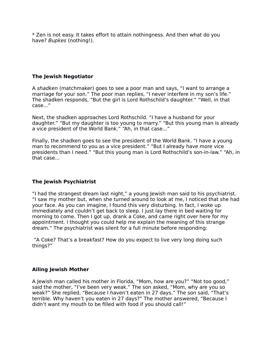\* Zen is not easy. It takes effort to attain nothingness. And then what do you have? Bupkes (nothing!).

# **The Jewish Negotiator**

A shadken (matchmaker) goes to see a poor man and says, "I want to arrange a marriage for your son." The poor man replies, "I never interfere in my son's life." The shadken responds, "But the girl is Lord Rothschild's daughter." "Well, in that case..."

Next, the shadken approaches Lord Rothschild. "I have a husband for your daughter." "But my daughter is too young to marry." "But this young man is already a vice president of the World Bank." "Ah, in that case..."

Finally, the shadken goes to see the president of the World Bank. "I have a young man to recommend to you as a vice president." "But I already have more vice presidents than I need." "But this young man is Lord Rothschild's son-in-law." "Ah, in that case...

# **The Jewish Psychiatrist**

"I had the strangest dream last night," a young Jewish man said to his psychiatrist. "I saw my mother but, when she turned around to look at me, I noticed that she had your face. As you can imagine, I found this very disturbing. In fact, I woke up immediately and couldn't get back to sleep. I just lay there in bed waiting for morning to come. Then I got up, drank a Coke, and came right over here for my appointment. I thought you could help me explain the meaning of this strange dream." The psychiatrist was silent for a full minute before responding:

 "A Coke? That's a breakfast? How do you expect to live very long doing such things?"

# **Ailing Jewish Mother**

A Jewish man called his mother in Florida, "Mom, how are you?" "Not too good," said the mother, "I've been very weak." The son asked, "Mom, why are you so weak?" She replied, "Because I haven't eaten in 27 days." The son said, "That's terrible. Why haven't you eaten in 27 days?" The mother answered, "Because I didn't want my mouth to be filled with food if you should call!"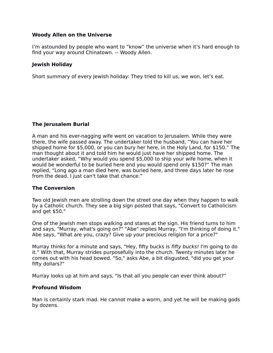# **Woody Allen on the Universe**

I'm astounded by people who want to "know" the universe when it's hard enough to find your way around Chinatown. -- Woody Allen.

# **Jewish Holiday**

Short summary of every Jewish holiday: They tried to kill us, we won, let's eat.

# **The Jerusalem Burial**

A man and his ever-nagging wife went on vacation to Jerusalem. While they were there, the wife passed away. The undertaker told the husband, "You can have her shipped home for \$5,000, or you can bury her here, in the Holy Land, for \$150." The man thought about it and told him he would just have her shipped home. The undertaker asked, "Why would you spend \$5,000 to ship your wife home, when it would be wonderful to be buried here and you would spend only \$150?" The man replied, "Long ago a man died here, was buried here, and three days later he rose from the dead. I just can't take that chance."

#### **The Conversion**

Two old Jewish men are strolling down the street one day when they happen to walk by a Catholic church. They see a big sign posted that says, "Convert to Catholicism and get \$50."

One of the Jewish men stops walking and stares at the sign. His friend turns to him and says, "Murray, what's going on?" "Abe" replies Murray, "I'm thinking of doing it." Abe says, "What are you, crazy? Give up your precious religion for a price?"

Murray thinks for a minute and says, "Hey, fifty bucks is fifty bucks! I'm going to do it." With that, Murray strides purposefully into the church. Twenty minutes later he comes out with his head bowed. "So," asks Abe, a bit disgusted, "did you get your fifty dollars?"

Murray looks up at him and says, "Is that all you people can ever think about?"

#### **Profound Wisdom**

Man is certainly stark mad. He cannot make a worm, and yet he will be making gods by dozens.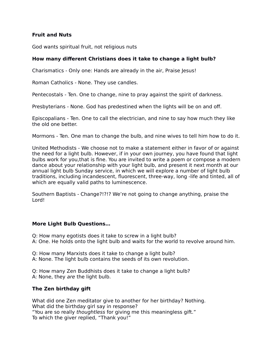# **Fruit and Nuts**

God wants spiritual fruit, not religious nuts

# **How many different Christians does it take to change a light bulb?**

Charismatics - Only one: Hands are already in the air, Praise Jesus!

Roman Catholics - None. They use candles.

Pentecostals - Ten. One to change, nine to pray against the spirit of darkness.

Presbyterians - None. God has predestined when the lights will be on and off.

Episcopalians - Ten. One to call the electrician, and nine to say how much they like the old one better.

Mormons - Ten. One man to change the bulb, and nine wives to tell him how to do it.

United Methodists - We choose not to make a statement either in favor of or against the need for a light bulb. However, if in your own journey, you have found that light bulbs work for you,that is fine. You are invited to write a poem or compose a modern dance about your relationship with your light bulb, and present it next month at our annual light bulb Sunday service, in which we will explore a number of light bulb traditions, including incandescent, fluorescent, three-way, long -life and tinted, all of which are equally valid paths to luminescence.

Southern Baptists - Change?!?!? We're not going to change anything, praise the Lord!

# **More Light Bulb Questions…**

Q: How many egotists does it take to screw in a light bulb? A: One. He holds onto the light bulb and waits for the world to revolve around him.

Q: How many Marxists does it take to change a light bulb? A: None. The light bulb contains the seeds of its own revolution.

Q: How many Zen Buddhists does it take to change a light bulb? A: None, they are the light bulb.

# **The Zen birthday gift**

What did one Zen meditator give to another for her birthday? Nothing. What did the birthday girl say in response? "You are so really thoughtless for giving me this meaningless gift." To which the giver replied, "Thank you!"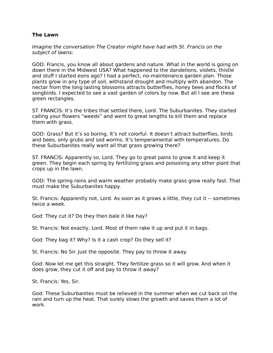#### **The Lawn**

Imagine the conversation The Creator might have had with St. Francis on the subject of lawns:

GOD: Francis, you know all about gardens and nature. What in the world is going on down there in the Midwest USA? What happened to the dandelions, violets, thistle and stuff I started eons ago? I had a perfect, no-maintenance garden plan. Those plants grow in any type of soil, withstand drought and multiply with abandon. The nectar from the long lasting blossoms attracts butterflies, honey bees and flocks of songbirds. I expected to see a vast garden of colors by now. But all I see are these green rectangles.

ST. FRANCIS: It's the tribes that settled there, Lord. The Suburbanites. They started calling your flowers "weeds" and went to great lengths to kill them and replace them with grass.

GOD: Grass? But it's so boring. It's not colorful. It doesn't attract butterflies, birds and bees, only grubs and sod worms. It's temperamental with temperatures. Do these Suburbanites really want all that grass growing there?

ST. FRANCIS: Apparently so, Lord. They go to great pains to grow it and keep it green. They begin each spring by fertilizing grass and poisoning any other plant that crops up in the lawn.

GOD: The spring rains and warm weather probably make grass grow really fast. That must make the Suburbanites happy.

St. Francis: Apparently not, Lord. As soon as it grows a little, they cut it -- sometimes twice a week.

God: They cut it? Do they then bale it like hay?

St. Francis: Not exactly, Lord. Most of them rake it up and put it in bags.

God: They bag it? Why? Is it a cash crop? Do they sell it?

St. Francis: No Sir. Just the opposite. They pay to throw it away.

God: Now let me get this straight. They fertilize grass so it will grow. And when it does grow, they cut it off and pay to throw it away?

St. Francis: Yes, Sir.

God: These Suburbanites must be relieved in the summer when we cut back on the rain and turn up the heat. That surely slows the growth and saves them a lot of work.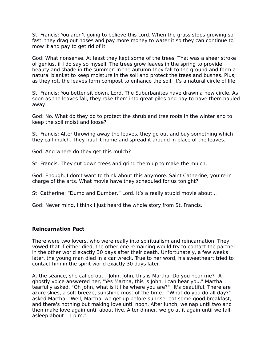St. Francis: You aren't going to believe this Lord. When the grass stops growing so fast, they drag out hoses and pay more money to water it so they can continue to mow it and pay to get rid of it.

God: What nonsense. At least they kept some of the trees. That was a sheer stroke of genius, if I do say so myself. The trees grow leaves in the spring to provide beauty and shade in the summer. In the autumn they fall to the ground and form a natural blanket to keep moisture in the soil and protect the trees and bushes. Plus, as they rot, the leaves form compost to enhance the soil. It's a natural circle of life.

St. Francis: You better sit down, Lord. The Suburbanites have drawn a new circle. As soon as the leaves fall, they rake them into great piles and pay to have them hauled away.

God: No. What do they do to protect the shrub and tree roots in the winter and to keep the soil moist and loose?

St. Francis: After throwing away the leaves, they go out and buy something which they call mulch. They haul it home and spread it around in place of the leaves.

God: And where do they get this mulch?

St. Francis: They cut down trees and grind them up to make the mulch.

God: Enough. I don't want to think about this anymore. Saint Catherine, you're in charge of the arts. What movie have they scheduled for us tonight?

St. Catherine: "Dumb and Dumber," Lord. It's a really stupid movie about...

God: Never mind, I think I just heard the whole story from St. Francis.

#### **Reincarnation Pact**

There were two lovers, who were really into spiritualism and reincarnation. They vowed that if either died, the other one remaining would try to contact the partner in the other world exactly 30 days after their death. Unfortunately, a few weeks later, the young man died in a car wreck. True to her word, his sweetheart tried to contact him in the spirit world exactly 30 days later.

At the séance, she called out, "John, John, this is Martha. Do you hear me?" A ghostly voice answered her, "Yes Martha, this is John. I can hear you." Martha tearfully asked, "Oh John, what is it like where you are?" "It's beautiful. There are azure skies, a soft breeze, sunshine most of the time." "What do you do all day?" asked Martha. "Well, Martha, we get up before sunrise, eat some good breakfast, and there's nothing but making love until noon. After lunch, we nap until two and then make love again until about five. After dinner, we go at it again until we fall asleep about 11 p.m."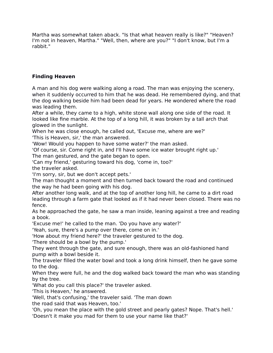Martha was somewhat taken aback. "Is that what heaven really is like?" "Heaven? I'm not in heaven, Martha." "Well, then, where are you?" "I don't know, but I'm a rabbit."

# **Finding Heaven**

A man and his dog were walking along a road. The man was enjoying the scenery, when it suddenly occurred to him that he was dead. He remembered dying, and that the dog walking beside him had been dead for years. He wondered where the road was leading them.

After a while, they came to a high, white stone wall along one side of the road. It looked like fine marble. At the top of a long hill, it was broken by a tall arch that glowed in the sunlight.

When he was close enough, he called out, 'Excuse me, where are we?' 'This is Heaven, sir,' the man answered.

'Wow! Would you happen to have some water?' the man asked.

'Of course, sir. Come right in, and I'll have some ice water brought right up.' The man gestured, and the gate began to open.

'Can my friend,' gesturing toward his dog, 'come in, too?'

the traveler asked.

'I'm sorry, sir, but we don't accept pets.'

The man thought a moment and then turned back toward the road and continued the way he had been going with his dog.

After another long walk, and at the top of another long hill, he came to a dirt road leading through a farm gate that looked as if it had never been closed. There was no fence.

As he approached the gate, he saw a man inside, leaning against a tree and reading a book.

'Excuse me!' he called to the man. 'Do you have any water?'

'Yeah, sure, there's a pump over there, come on in.'

'How about my friend here?' the traveler gestured to the dog.

'There should be a bowl by the pump.'

They went through the gate, and sure enough, there was an old-fashioned hand pump with a bowl beside it.

The traveler filled the water bowl and took a long drink himself, then he gave some to the dog.

When they were full, he and the dog walked back toward the man who was standing by the tree.

'What do you call this place?' the traveler asked.

'This is Heaven,' he answered.

'Well, that's confusing,' the traveler said. 'The man down

the road said that was Heaven, too.'

'Oh, you mean the place with the gold street and pearly gates? Nope. That's hell.' 'Doesn't it make you mad for them to use your name like that?'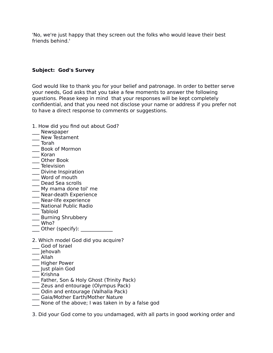'No, we're just happy that they screen out the folks who would leave their best friends behind.'

# **Subject: God's Survey**

God would like to thank you for your belief and patronage. In order to better serve your needs, God asks that you take a few moments to answer the following questions. Please keep in mind that your responses will be kept completely confidential, and that you need not disclose your name or address if you prefer not to have a direct response to comments or suggestions.

- 1. How did you find out about God?
- Newspaper
- New Testament
- \_\_\_ Torah
- \_\_\_ Book of Mormon
- \_\_\_ Koran
- \_\_\_ Other Book
- **Television**
- Divine Inspiration
- $^-$  Word of mouth
- \_\_\_ Dead Sea scrolls
- \_\_\_ My mama done tol' me
- Near-death Experience
- Near-life experience
- \_\_\_ National Public Radio
- \_\_\_ Tabloid
- \_\_\_ Burning Shrubbery
- Who?
- $\Box$  Other (specify):  $\Box$
- 2. Which model God did you acquire?
- \_\_\_ God of Israel
- \_\_\_ Jehovah
- $^-$  Allah
- \_\_\_ Higher Power
- \_\_\_ Just plain God
- \_\_\_ Krishna
- \_\_\_ Father, Son & Holy Ghost (Trinity Pack)
- \_\_\_ Zeus and entourage (Olympus Pack)
- \_\_\_ Odin and entourage (Valhalla Pack)
- \_\_\_ Gaia/Mother Earth/Mother Nature
- None of the above; I was taken in by a false god

3. Did your God come to you undamaged, with all parts in good working order and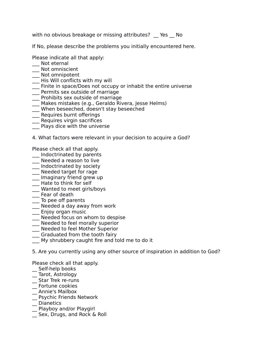with no obvious breakage or missing attributes? Figs No

If No, please describe the problems you initially encountered here.

Please indicate all that apply:

- Not eternal
- \_\_\_ Not omniscient
- \_\_\_ Not omnipotent
- \_\_\_ His Will conflicts with my will
- \_\_\_ Finite in space/Does not occupy or inhabit the entire universe
- Permits sex outside of marriage
- \_\_\_ Prohibits sex outside of marriage
- \_\_\_ Makes mistakes (e.g., Geraldo Rivera, Jesse Helms)
- \_\_\_ When beseeched, doesn't stay beseeched
- \_\_\_ Requires burnt offerings
- Requires virgin sacrifices
- Plays dice with the universe
- 4. What factors were relevant in your decision to acquire a God?

Please check all that apply.

- Indoctrinated by parents
- Needed a reason to live
- \_\_\_ Indoctrinated by society
- Needed target for rage
- Imaginary friend grew up
- $\equiv$  Hate to think for self
- Wanted to meet girls/boys
- \_\_\_ Fear of death
- To pee off parents
- $\overline{\phantom{a}}$  Needed a day away from work
- \_\_ Enjoy organ music
- \_\_\_ Needed focus on whom to despise
- \_\_\_ Needed to feel morally superior
- \_\_\_ Needed to feel Mother Superior
- \_\_\_ Graduated from the tooth fairy
- My shrubbery caught fire and told me to do it
- 5. Are you currently using any other source of inspiration in addition to God?

Please check all that apply.

- \_\_ Self-help books
- \_\_ Tarot, Astrology
- Star Trek re-runs
- $\overline{\phantom{a}}$  Fortune cookies
- \_\_ Annie's Mailbox
- \_\_ Psychic Friends Network
- \_\_ Dianetics
- Playboy and/or Playgirl
- $\overline{\phantom{a}}$  Sex, Drugs, and Rock & Roll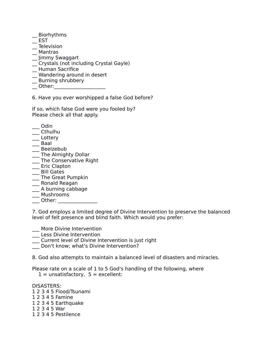- \_\_ Biorhythms
- \_\_ EST
- **Television**
- \_\_ Mantras
- \_\_ Jimmy Swaggart
- \_\_ Crystals (not including Crystal Gayle)
- \_\_ Human Sacrifice
- \_\_ Wandering around in desert
- Burning shrubbery
- $\rule{1em}{0}$  Other:

6. Have you ever worshipped a false God before?

If so, which false God were you fooled by? Please check all that apply.

- \_\_\_ Odin
- \_\_\_ Cthulhu
- \_\_\_ Lottery
- \_\_\_ Baal
- \_\_\_ Beelzebub
- The Almighty Dollar
- The Conservative Right
- \_\_\_ Eric Clapton
- \_\_\_ Bill Gates
- \_\_\_ The Great Pumpkin
- **\_\_** Ronald Reagan
- $\equiv$  A burning cabbage
- \_\_\_ Mushrooms
- \_\_\_ Other:

7. God employs a limited degree of Divine Intervention to preserve the balanced level of felt presence and blind faith. Which would you prefer:

- More Divine Intervention
- Less Divine Intervention
- Current level of Divine Intervention is just right
- Don't know; what's Divine Intervention?

8. God also attempts to maintain a balanced level of disasters and miracles.

Please rate on a scale of 1 to 5 God's handling of the following, where  $1 =$  unsatisfactory,  $5 =$  excellent:

DISASTERS:

- 1 2 3 4 5 Flood/Tsunami
- 1 2 3 4 5 Famine
- 1 2 3 4 5 Earthquake
- 1 2 3 4 5 War
- 1 2 3 4 5 Pestilence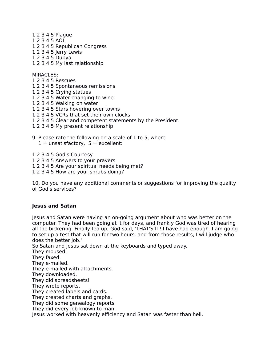- 1 2 3 4 5 Plague
- 1 2 3 4 5 AOL
- 1 2 3 4 5 Republican Congress
- 1 2 3 4 5 Jerry Lewis
- 1 2 3 4 5 Dubya
- 1 2 3 4 5 My last relationship

MIRACLES:

- 1 2 3 4 5 Rescues
- 1 2 3 4 5 Spontaneous remissions
- 1 2 3 4 5 Crying statues
- 1 2 3 4 5 Water changing to wine
- 1 2 3 4 5 Walking on water
- 1 2 3 4 5 Stars hovering over towns
- 1 2 3 4 5 VCRs that set their own clocks
- 1 2 3 4 5 Clear and competent statements by the President
- 1 2 3 4 5 My present relationship
- 9. Please rate the following on a scale of 1 to 5, where  $1 =$  unsatisfactory,  $5 =$  excellent:
- 1 2 3 4 5 God's Courtesy
- 1 2 3 4 5 Answers to your prayers
- 1 2 3 4 5 Are your spiritual needs being met?
- 1 2 3 4 5 How are your shrubs doing?

10. Do you have any additional comments or suggestions for improving the quality of God's services?

# **Jesus and Satan**

Jesus and Satan were having an on-going argument about who was better on the computer. They had been going at it for days, and frankly God was tired of hearing all the bickering. Finally fed up, God said, 'THAT'S IT! I have had enough. I am going to set up a test that will run for two hours, and from those results, I will judge who does the better job.' So Satan and Jesus sat down at the keyboards and typed away.

They moused.

They faxed.

They e-mailed.

They e-mailed with attachments.

They downloaded.

They did spreadsheets!

They wrote reports.

They created labels and cards.

They created charts and graphs.

They did some genealogy reports

They did every job known to man.

Jesus worked with heavenly efficiency and Satan was faster than hell.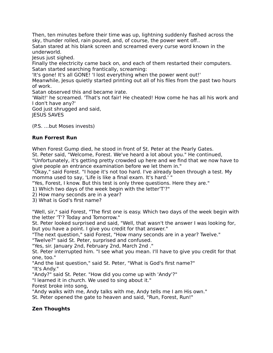Then, ten minutes before their time was up, lightning suddenly flashed across the sky, thunder rolled, rain poured, and, of course, the power went off..

Satan stared at his blank screen and screamed every curse word known in the underworld.

Jesus just sighed.

Finally the electricity came back on, and each of them restarted their computers. Satan started searching frantically, screaming:

'It's gone! It's all GONE! 'I lost everything when the power went out!'

Meanwhile, Jesus quietly started printing out all of his files from the past two hours of work.

Satan observed this and became irate.

'Wait!' he screamed. 'That's not fair! He cheated! How come he has all his work and I don't have any?'

God just shrugged and said,

JESUS SAVES

(P.S. …but Moses invests)

# **Run Forrest Run**

When Forest Gump died, he stood in front of St. Peter at the Pearly Gates.

St. Peter said, "Welcome, Forest. We've heard a lot about you." He continued,

"Unfortunately, it's getting pretty crowded up here and we find that we now have to give people an entrance examination before we let them in."

"Okay," said Forest. "I hope it's not too hard. I've already been through a test. My momma used to say, 'Life is like a final exam. It's hard.' "

"Yes, Forest, I know. But this test is only three questions. Here they are."

1) Which two days of the week begin with the letter'T'?"

2) How many seconds are in a year?

3) What is God's first name?

"Well, sir," said Forest, "The first one is easy. Which two days of the week begin with the letter 'T'? Today and Tomorrow."

St. Peter looked surprised and said, "Well, that wasn't the answer I was looking for, but you have a point. I give you credit for that answer."

"The next question," said Forest, "How many seconds are in a year? Twelve."

"Twelve?" said St. Peter, surprised and confused.

"Yes, sir. January 2nd, February 2nd, March 2nd ."

St. Peter interrupted him. "I see what you mean. I'll have to give you credit for that one, too."

"And the last question," said St. Peter, "What is God's first name?"

"It's Andy."

"Andy?" said St. Peter. "How did you come up with 'Andy'?"

"I learned it in church. We used to sing about it."

Forest broke into song,

"Andy walks with me, Andy talks with me, Andy tells me I am His own."

St. Peter opened the gate to heaven and said, "Run, Forest, Run!"

# **Zen Thoughts**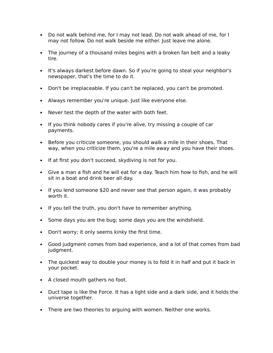- Do not walk behind me, for I may not lead. Do not walk ahead of me, for I may not follow. Do not walk beside me either. Just leave me alone.
- The journey of a thousand miles begins with a broken fan belt and a leaky tire.
- It's always darkest before dawn. So if you're going to steal your neighbor's newspaper, that's the time to do it.
- Don't be irreplaceable. If you can't be replaced, you can't be promoted.
- Always remember you're unique. Just like everyone else.
- Never test the depth of the water with both feet.
- If you think nobody cares if you're alive, try missing a couple of car payments.
- Before you criticize someone, you should walk a mile in their shoes. That way, when you criticize them, you're a mile away and you have their shoes.
- If at first you don't succeed, skydiving is not for you.
- Give a man a fish and he will eat for a day. Teach him how to fish, and he will sit in a boat and drink beer all day.
- If you lend someone \$20 and never see that person again, it was probably worth it.
- If you tell the truth, you don't have to remember anything.
- Some days you are the bug; some days you are the windshield.
- Don't worry; it only seems kinky the first time.
- Good judgment comes from bad experience, and a lot of that comes from bad judgment.
- The quickest way to double your money is to fold it in half and put it back in your pocket.
- A closed mouth gathers no foot.
- Duct tape is like the Force. It has a light side and a dark side, and it holds the universe together.
- There are two theories to arguing with women. Neither one works.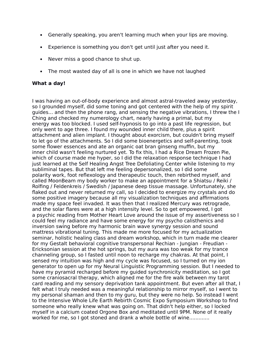- Generally speaking, you aren't learning much when your lips are moving.
- Experience is something you don't get until just after you need it.
- Never miss a good chance to shut up.
- The most wasted day of all is one in which we have not laughed

# **What a day!**

I was having an out-of-body experience and almost astral-traveled away yesterday, so I grounded myself, did some toning and got centered with the help of my spirit guides... and then the phone rang, and sensing the negative vibrations, I threw the I Ching and checked my numerology chart, nearly having a primal, but my energy was too blocked. I used self-hypnosis to go into a past life regression, but only went to age three. I found my wounded inner child there, plus a spirit attachment and alien implant. I thought about exorcism, but couldn't bring myself to let go of the attachments. So I did some bioenergetics and self-parenting, took some flower essences and ate an organic oat bran ginseng muffin, but my inner child wasn't feeling nurtured yet. To fix this, I had a Rice Dream Frozen Pie, which of course made me hyper, so I did the relaxation response technique I had just learned at the Self Healing Angst Tree Defoliating Center while listening to my subliminal tapes. But that left me feeling depersonalized, so I did some polarity work, foot reflexology and therapeutic touch, then rebirthed myself, and called MoonBeam my body worker to make an appointment for a Shiatsu / Reiki / Rolfing / Feldenkreis / Swedish / Japanese deep tissue massage. Unfortunately, she flaked out and never returned my call, so I decided to energize my crystals and do some positive imagery because all my visualization techniques and affirmations made my space feel invaded. It was then that I realized Mercury was retrograde, and the solar flares were at a high intensity level. So to get empowered, I got a psychic reading from Mother Heart Love around the issue of my assertiveness so I could feel my radiance and have some energy for my psycho calisthenics and inversion swing before my harmonic brain wave synergy session and sound mattress vibrational tuning. This made me more focused for my actualization seminar, holistic healing class and dream workshop, which in turn made me clearer for my Gestalt behavioral cognitive transpersonal Rechian - Jungian - Freudian - Ericksonian session at the hot springs, but my aura was too weak for my trance channeling group, so I fasted until noon to recharge my chakras. At that point, I sensed my intuition was high and my cycle was focused, so I turned on my ion generator to open up for my Neural Linguistic Programming session. But I needed to have my pyramid recharged before my guided synchronicity meditation, so I got some craniosacral therapy, which aligned me for the fire walk between my tarot card reading and my sensory deprivation tank appointment. But even after all that, I felt what I truly needed was a meaningful relationship to mirror myself, so I went to my personal shaman and then to my guru, but they were no help. So instead I went to the Intensive Whole Life Earth Rebirth Cosmic Expo Symposium Workshop to find someone who really knew what was going on. That didn't help either, so I locked myself in a calcium coated Orgone Box and meditated until 9PM. None of it really worked for me, so I got stoned and drank a whole bottle of wine.............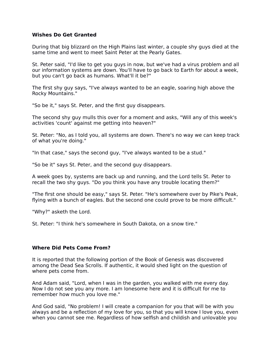#### **Wishes Do Get Granted**

During that big blizzard on the High Plains last winter, a couple shy guys died at the same time and went to meet Saint Peter at the Pearly Gates.

St. Peter said, "I'd like to get you guys in now, but we've had a virus problem and all our information systems are down. You'll have to go back to Earth for about a week, but you can't go back as humans. What'll it be?"

The first shy guy says, "I've always wanted to be an eagle, soaring high above the Rocky Mountains."

"So be it," says St. Peter, and the first guy disappears.

The second shy guy mulls this over for a moment and asks, "Will any of this week's activities 'count' against me getting into heaven?"

St. Peter: "No, as I told you, all systems are down. There's no way we can keep track of what you're doing."

"In that case," says the second guy, "I've always wanted to be a stud."

"So be it" says St. Peter, and the second guy disappears.

A week goes by, systems are back up and running, and the Lord tells St. Peter to recall the two shy guys. "Do you think you have any trouble locating them?"

"The first one should be easy," says St. Peter. "He's somewhere over by Pike's Peak, flying with a bunch of eagles. But the second one could prove to be more difficult."

"Why?" asketh the Lord.

St. Peter: "I think he's somewhere in South Dakota, on a snow tire."

#### **Where Did Pets Come From?**

It is reported that the following portion of the Book of Genesis was discovered among the Dead Sea Scrolls. If authentic, it would shed light on the question of where pets come from.

And Adam said, "Lord, when I was in the garden, you walked with me every day. Now I do not see you any more. I am lonesome here and it is difficult for me to remember how much you love me."

And God said, "No problem! I will create a companion for you that will be with you always and be a reflection of my love for you, so that you will know I love you, even when you cannot see me. Regardless of how selfish and childish and unlovable you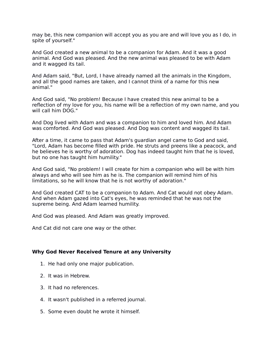may be, this new companion will accept you as you are and will love you as I do, in spite of yourself."

And God created a new animal to be a companion for Adam. And it was a good animal. And God was pleased. And the new animal was pleased to be with Adam and it wagged its tail.

And Adam said, "But, Lord, I have already named all the animals in the Kingdom, and all the good names are taken, and I cannot think of a name for this new animal."

And God said, "No problem! Because I have created this new animal to be a reflection of my love for you, his name will be a reflection of my own name, and you will call him DOG."

And Dog lived with Adam and was a companion to him and loved him. And Adam was comforted. And God was pleased. And Dog was content and wagged its tail.

After a time, it came to pass that Adam's guardian angel came to God and said, "Lord, Adam has become filled with pride. He struts and preens like a peacock, and he believes he is worthy of adoration. Dog has indeed taught him that he is loved, but no one has taught him humility."

And God said, "No problem! I will create for him a companion who will be with him always and who will see him as he is. The companion will remind him of his limitations, so he will know that he is not worthy of adoration."

And God created CAT to be a companion to Adam. And Cat would not obey Adam. And when Adam gazed into Cat's eyes, he was reminded that he was not the supreme being. And Adam learned humility.

And God was pleased. And Adam was greatly improved.

And Cat did not care one way or the other.

#### **Why God Never Received Tenure at any University**

- 1. He had only one major publication.
- 2. It was in Hebrew.
- 3. It had no references.
- 4. It wasn't published in a referred journal.
- 5. Some even doubt he wrote it himself.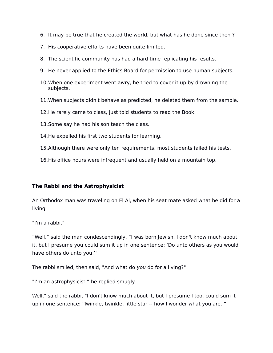- 6. It may be true that he created the world, but what has he done since then ?
- 7. His cooperative efforts have been quite limited.
- 8. The scientific community has had a hard time replicating his results.
- 9. He never applied to the Ethics Board for permission to use human subjects.
- 10.When one experiment went awry, he tried to cover it up by drowning the subjects.
- 11.When subjects didn't behave as predicted, he deleted them from the sample.
- 12.He rarely came to class, just told students to read the Book.
- 13.Some say he had his son teach the class.
- 14.He expelled his first two students for learning.
- 15.Although there were only ten requirements, most students failed his tests.
- 16.His office hours were infrequent and usually held on a mountain top.

# **The Rabbi and the Astrophysicist**

An Orthodox man was traveling on El Al, when his seat mate asked what he did for a living.

"I'm a rabbi."

"Well," said the man condescendingly, "I was born Jewish. I don't know much about it, but I presume you could sum it up in one sentence: 'Do unto others as you would have others do unto you.'"

The rabbi smiled, then said, "And what do you do for a living?"

"I'm an astrophysicist," he replied smugly.

Well," said the rabbi, "I don't know much about it, but I presume I too, could sum it up in one sentence: 'Twinkle, twinkle, little star -- how I wonder what you are.'"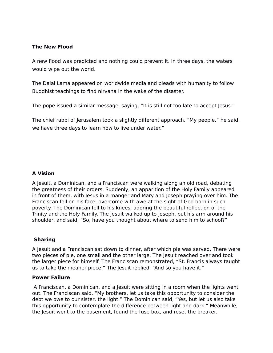# **The New Flood**

A new flood was predicted and nothing could prevent it. In three days, the waters would wipe out the world.

The Dalai Lama appeared on worldwide media and pleads with humanity to follow Buddhist teachings to find nirvana in the wake of the disaster.

The pope issued a similar message, saying, "It is still not too late to accept Jesus."

The chief rabbi of Jerusalem took a slightly different approach. "My people," he said, we have three days to learn how to live under water."

# **A Vision**

A Jesuit, a Dominican, and a Franciscan were walking along an old road, debating the greatness of their orders. Suddenly, an apparition of the Holy Family appeared in front of them, with Jesus in a manger and Mary and Joseph praying over him. The Franciscan fell on his face, overcome with awe at the sight of God born in such poverty. The Dominican fell to his knees, adoring the beautiful reflection of the Trinity and the Holy Family. The Jesuit walked up to Joseph, put his arm around his shoulder, and said, "So, have you thought about where to send him to school?"

# **Sharing**

A Jesuit and a Franciscan sat down to dinner, after which pie was served. There were two pieces of pie, one small and the other large. The Jesuit reached over and took the larger piece for himself. The Franciscan remonstrated, "St. Francis always taught us to take the meaner piece." The Jesuit replied, "And so you have it."

# **Power Failure**

 A Franciscan, a Dominican, and a Jesuit were sitting in a room when the lights went out. The Franciscan said, "My brothers, let us take this opportunity to consider the debt we owe to our sister, the light." The Dominican said, "Yes, but let us also take this opportunity to contemplate the difference between light and dark." Meanwhile, the Jesuit went to the basement, found the fuse box, and reset the breaker.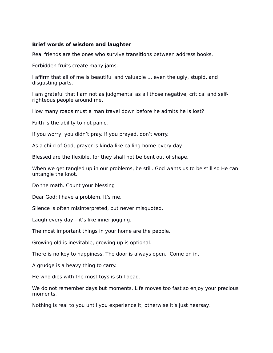#### **Brief words of wisdom and laughter**

Real friends are the ones who survive transitions between address books.

Forbidden fruits create many jams.

I affirm that all of me is beautiful and valuable ... even the ugly, stupid, and disgusting parts.

I am grateful that I am not as judgmental as all those negative, critical and selfrighteous people around me.

How many roads must a man travel down before he admits he is lost?

Faith is the ability to not panic.

If you worry, you didn't pray. If you prayed, don't worry.

As a child of God, prayer is kinda like calling home every day.

Blessed are the flexible, for they shall not be bent out of shape.

When we get tangled up in our problems, be still. God wants us to be still so He can untangle the knot.

Do the math. Count your blessing

Dear God: I have a problem. It's me.

Silence is often misinterpreted, but never misquoted.

Laugh every day – it's like inner jogging.

The most important things in your home are the people.

Growing old is inevitable, growing up is optional.

There is no key to happiness. The door is always open. Come on in.

A grudge is a heavy thing to carry.

He who dies with the most toys is still dead.

We do not remember days but moments. Life moves too fast so enjoy your precious moments.

Nothing is real to you until you experience it; otherwise it's just hearsay.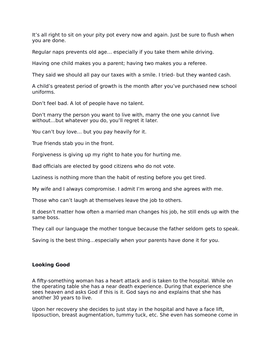It's all right to sit on your pity pot every now and again. Just be sure to flush when you are done.

Regular naps prevents old age… especially if you take them while driving.

Having one child makes you a parent; having two makes you a referee.

They said we should all pay our taxes with a smile. I tried- but they wanted cash.

A child's greatest period of growth is the month after you've purchased new school uniforms.

Don't feel bad. A lot of people have no talent.

Don't marry the person you want to live with, marry the one you cannot live without…but whatever you do, you'll regret it later.

You can't buy love… but you pay heavily for it.

True friends stab you in the front.

Forgiveness is giving up my right to hate you for hurting me.

Bad officials are elected by good citizens who do not vote.

Laziness is nothing more than the habit of resting before you get tired.

My wife and I always compromise. I admit I'm wrong and she agrees with me.

Those who can't laugh at themselves leave the job to others.

It doesn't matter how often a married man changes his job, he still ends up with the same boss.

They call our language the mother tongue because the father seldom gets to speak.

Saving is the best thing…especially when your parents have done it for you.

# **Looking Good**

A fifty-something woman has a heart attack and is taken to the hospital. While on the operating table she has a near death experience. During that experience she sees heaven and asks God if this is it. God says no and explains that she has another 30 years to live.

Upon her recovery she decides to just stay in the hospital and have a face lift, liposuction, breast augmentation, tummy tuck, etc. She even has someone come in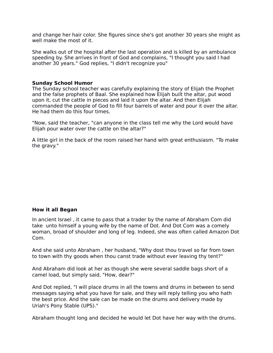and change her hair color. She figures since she's got another 30 years she might as well make the most of it.

She walks out of the hospital after the last operation and is killed by an ambulance speeding by. She arrives in front of God and complains, "I thought you said I had another 30 years." God replies, "I didn't recognize you"

#### **Sunday School Humor**

The Sunday school teacher was carefully explaining the story of Elijah the Prophet and the false prophets of Baal. She explained how Elijah built the altar, put wood upon it, cut the cattle in pieces and laid it upon the altar. And then Elijah commanded the people of God to fill four barrels of water and pour it over the altar. He had them do this four times.

"Now, said the teacher, "can anyone in the class tell me why the Lord would have Elijah pour water over the cattle on the altar?"

A little girl in the back of the room raised her hand with great enthusiasm. "To make the gravy."

#### **How it all Began**

In ancient Israel , it came to pass that a trader by the name of Abraham Com did take unto himself a young wife by the name of Dot. And Dot Com was a comely woman, broad of shoulder and long of leg. Indeed, she was often called Amazon Dot Com.

And she said unto Abraham , her husband, "Why dost thou travel so far from town to town with thy goods when thou canst trade without ever leaving thy tent?"

And Abraham did look at her as though she were several saddle bags short of a camel load, but simply said, "How, dear?"

And Dot replied, "I will place drums in all the towns and drums in between to send messages saying what you have for sale, and they will reply telling you who hath the best price. And the sale can be made on the drums and delivery made by Uriah's Pony Stable (UPS)."

Abraham thought long and decided he would let Dot have her way with the drums.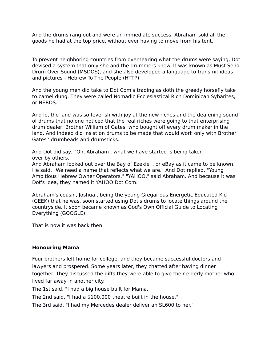And the drums rang out and were an immediate success. Abraham sold all the goods he had at the top price, without ever having to move from his tent.

To prevent neighboring countries from overhearing what the drums were saying, Dot devised a system that only she and the drummers knew. It was known as Must Send Drum Over Sound (MSDOS), and she also developed a language to transmit ideas and pictures - Hebrew To The People (HTTP).

And the young men did take to Dot Com's trading as doth the greedy horsefly take to camel dung. They were called Nomadic Ecclesiastical Rich Dominican Sybarites, or NERDS.

And lo, the land was so feverish with joy at the new riches and the deafening sound of drums that no one noticed that the real riches were going to that enterprising drum dealer, Brother William of Gates, who bought off every drum maker in the land. And indeed did insist on drums to be made that would work only with Brother Gates ' drumheads and drumsticks.

And Dot did say, "Oh, Abraham , what we have started is being taken over by others."

And Abraham looked out over the Bay of Ezekiel , or eBay as it came to be known. He said, "We need a name that reflects what we are." And Dot replied, "Young Ambitious Hebrew Owner Operators." "YAHOO," said Abraham. And because it was Dot's idea, they named it YAHOO Dot Com.

Abraham's cousin, Joshua , being the young Gregarious Energetic Educated Kid (GEEK) that he was, soon started using Dot's drums to locate things around the countryside. It soon became known as God's Own Official Guide to Locating Everything (GOOGLE).

That is how it was back then.

# **Honouring Mama**

Four brothers left home for college, and they became successful doctors and lawyers and prospered. Some years later, they chatted after having dinner together. They discussed the gifts they were able to give their elderly mother who lived far away in another city.

The 1st said, "I had a big house built for Mama."

The 2nd said, "I had a \$100,000 theatre built in the house."

The 3rd said, "I had my Mercedes dealer deliver an SL600 to her."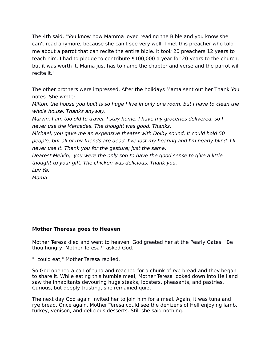The 4th said, "You know how Mamma loved reading the Bible and you know she can't read anymore, because she can't see very well. I met this preacher who told me about a parrot that can recite the entire bible. It took 20 preachers 12 years to teach him. I had to pledge to contribute \$100,000 a year for 20 years to the church, but it was worth it. Mama just has to name the chapter and verse and the parrot will recite it."

The other brothers were impressed. After the holidays Mama sent out her Thank You notes. She wrote:

Milton, the house you built is so huge I live in only one room, but I have to clean the whole house. Thanks anyway.

Marvin, I am too old to travel. I stay home, I have my groceries delivered, so I never use the Mercedes. The thought was good. Thanks.

Michael, you gave me an expensive theater with Dolby sound. It could hold 50 people, but all of my friends are dead, I've lost my hearing and I'm nearly blind. I'll never use it. Thank you for the gesture; just the same.

Dearest Melvin, you were the only son to have the good sense to give a little thought to your gift. The chicken was delicious. Thank you. Luv Ya,

Mama

# **Mother Theresa goes to Heaven**

Mother Teresa died and went to heaven. God greeted her at the Pearly Gates. "Be thou hungry, Mother Teresa?" asked God.

"I could eat," Mother Teresa replied.

So God opened a can of tuna and reached for a chunk of rye bread and they began to share it. While eating this humble meal, Mother Teresa looked down into Hell and saw the inhabitants devouring huge steaks, lobsters, pheasants, and pastries. Curious, but deeply trusting, she remained quiet.

The next day God again invited her to join him for a meal. Again, it was tuna and rye bread. Once again, Mother Teresa could see the denizens of Hell enjoying lamb, turkey, venison, and delicious desserts. Still she said nothing.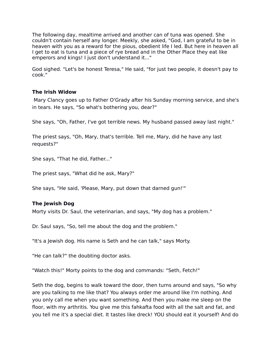The following day, mealtime arrived and another can of tuna was opened. She couldn't contain herself any longer. Meekly, she asked, "God, I am grateful to be in heaven with you as a reward for the pious, obedient life I led. But here in heaven all I get to eat is tuna and a piece of rye bread and in the Other Place they eat like emperors and kings! I just don't understand it..."

God sighed. "Let's be honest Teresa," He said, "for just two people, it doesn't pay to cook."

# **The Irish Widow**

Mary Clancy goes up to Father O'Grady after his Sunday morning service, and she's in tears. He says, "So what's bothering you, dear?"

She says, "Oh, Father, I've got terrible news. My husband passed away last night."

The priest says, "Oh, Mary, that's terrible. Tell me, Mary, did he have any last requests?"

She says, "That he did, Father..."

The priest says, "What did he ask, Mary?"

She says, "He said, 'Please, Mary, put down that darned gun!'"

# **The Jewish Dog**

Morty visits Dr. Saul, the veterinarian, and says, "My dog has a problem."

Dr. Saul says, "So, tell me about the dog and the problem."

"It's a Jewish dog. His name is Seth and he can talk," says Morty.

"He can talk?" the doubting doctor asks.

"Watch this!" Morty points to the dog and commands: "Seth, Fetch!"

Seth the dog, begins to walk toward the door, then turns around and says, "So why are you talking to me like that? You always order me around like I'm nothing. And you only call me when you want something. And then you make me sleep on the floor, with my arthritis. You give me this fahkafta food with all the salt and fat, and you tell me it's a special diet. It tastes like dreck! YOU should eat it yourself! And do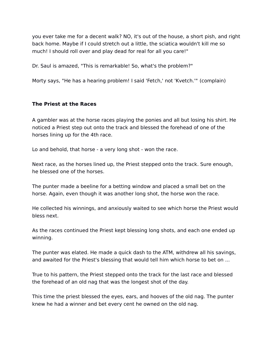you ever take me for a decent walk? NO, it's out of the house, a short pish, and right back home. Maybe if I could stretch out a little, the sciatica wouldn't kill me so much! I should roll over and play dead for real for all you care!"

Dr. Saul is amazed, "This is remarkable! So, what's the problem?"

Morty says, "He has a hearing problem! I said 'Fetch,' not 'Kvetch.'" (complain)

# **The Priest at the Races**

A gambler was at the horse races playing the ponies and all but losing his shirt. He noticed a Priest step out onto the track and blessed the forehead of one of the horses lining up for the 4th race.

Lo and behold, that horse - a very long shot - won the race.

Next race, as the horses lined up, the Priest stepped onto the track. Sure enough, he blessed one of the horses.

The punter made a beeline for a betting window and placed a small bet on the horse. Again, even though it was another long shot, the horse won the race.

He collected his winnings, and anxiously waited to see which horse the Priest would bless next.

As the races continued the Priest kept blessing long shots, and each one ended up winning.

The punter was elated. He made a quick dash to the ATM, withdrew all his savings, and awaited for the Priest's blessing that would tell him which horse to bet on ...

True to his pattern, the Priest stepped onto the track for the last race and blessed the forehead of an old nag that was the longest shot of the day.

This time the priest blessed the eyes, ears, and hooves of the old nag. The punter knew he had a winner and bet every cent he owned on the old nag.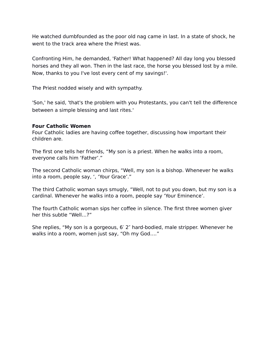He watched dumbfounded as the poor old nag came in last. In a state of shock, he went to the track area where the Priest was.

Confronting Him, he demanded, 'Father! What happened? All day long you blessed horses and they all won. Then in the last race, the horse you blessed lost by a mile. Now, thanks to you I've lost every cent of my savings!'.

The Priest nodded wisely and with sympathy.

'Son,' he said, 'that's the problem with you Protestants, you can't tell the difference between a simple blessing and last rites.'

#### **Four Catholic Women**

Four Catholic ladies are having coffee together, discussing how important their children are.

The first one tells her friends, "My son is a priest. When he walks into a room, everyone calls him 'Father'."

The second Catholic woman chirps, "Well, my son is a bishop. Whenever he walks into a room, people say, ', 'Your Grace'."

The third Catholic woman says smugly, "Well, not to put you down, but my son is a cardinal. Whenever he walks into a room, people say 'Your Eminence'.

The fourth Catholic woman sips her coffee in silence. The first three women giver her this subtle "Well…?"

She replies, "My son is a gorgeous, 6′ 2″ hard-bodied, male stripper. Whenever he walks into a room, women just say, "Oh my God…."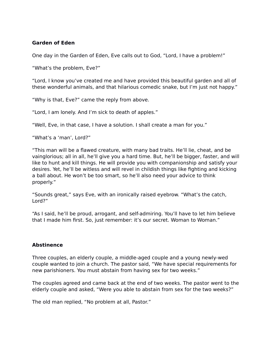# **Garden of Eden**

One day in the Garden of Eden, Eve calls out to God, "Lord, I have a problem!"

"What's the problem, Eve?"

"Lord, I know you've created me and have provided this beautiful garden and all of these wonderful animals, and that hilarious comedic snake, but I'm just not happy."

"Why is that, Eve?" came the reply from above.

"Lord, I am lonely. And I'm sick to death of apples."

"Well, Eve, in that case, I have a solution. I shall create a man for you."

"What's a 'man', Lord?"

"This man will be a flawed creature, with many bad traits. He'll lie, cheat, and be vainglorious; all in all, he'll give you a hard time. But, he'll be bigger, faster, and will like to hunt and kill things. He will provide you with companionship and satisfy your desires. Yet, he'll be witless and will revel in childish things like fighting and kicking a ball about. He won't be too smart, so he'll also need your advice to think properly."

"Sounds great," says Eve, with an ironically raised eyebrow. "What's the catch, Lord?"

"As I said, he'll be proud, arrogant, and self-admiring. You'll have to let him believe that I made him first. So, just remember: it's our secret. Woman to Woman."

# **Abstinence**

Three couples, an elderly couple, a middle-aged couple and a young newly-wed couple wanted to join a church. The pastor said, "We have special requirements for new parishioners. You must abstain from having sex for two weeks."

The couples agreed and came back at the end of two weeks. The pastor went to the elderly couple and asked, "Were you able to abstain from sex for the two weeks?"

The old man replied, "No problem at all, Pastor."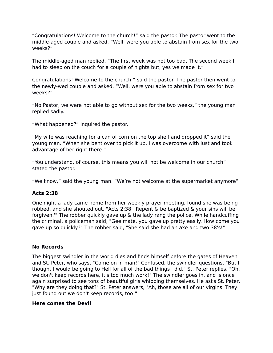"Congratulations! Welcome to the church!" said the pastor. The pastor went to the middle-aged couple and asked, "Well, were you able to abstain from sex for the two weeks?"

The middle-aged man replied, "The first week was not too bad. The second week I had to sleep on the couch for a couple of nights but, yes we made it."

Congratulations! Welcome to the church," said the pastor. The pastor then went to the newly-wed couple and asked, "Well, were you able to abstain from sex for two weeks?"

"No Pastor, we were not able to go without sex for the two weeks," the young man replied sadly.

"What happened?" inquired the pastor.

"My wife was reaching for a can of corn on the top shelf and dropped it" said the young man. "When she bent over to pick it up, I was overcome with lust and took advantage of her right there."

"You understand, of course, this means you will not be welcome in our church" stated the pastor.

"We know," said the young man. "We're not welcome at the supermarket anymore"

# **Acts 2:38**

One night a lady came home from her weekly prayer meeting, found she was being robbed, and she shouted out, "Acts 2:38: 'Repent & be baptized & your sins will be forgiven.'" The robber quickly gave up & the lady rang the police. While handcuffing the criminal, a policeman said, "Gee mate, you gave up pretty easily. How come you gave up so quickly?" The robber said, "She said she had an axe and two 38's!"

#### **No Records**

The biggest swindler in the world dies and finds himself before the gates of Heaven and St. Peter, who says, "Come on in man!" Confused, the swindler questions, "But I thought I would be going to Hell for all of the bad things I did." St. Peter replies, "Oh, we don't keep records here, it's too much work!" The swindler goes in, and is once again surprised to see tons of beautiful girls whipping themselves. He asks St. Peter, "Why are they doing that?" St. Peter answers, "Ah, those are all of our virgins. They just found out we don't keep records, too!"

#### **Here comes the Devil**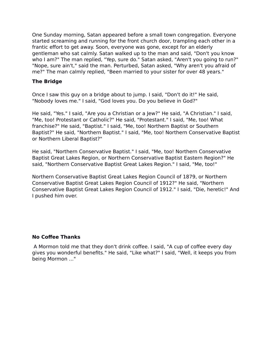One Sunday morning, Satan appeared before a small town congregation. Everyone started screaming and running for the front church door, trampling each other in a frantic effort to get away. Soon, everyone was gone, except for an elderly gentleman who sat calmly. Satan walked up to the man and said, "Don't you know who I am?" The man replied, "Yep, sure do." Satan asked, "Aren't you going to run?" "Nope, sure ain't," said the man. Perturbed, Satan asked, "Why aren't you afraid of me?" The man calmly replied, "Been married to your sister for over 48 years."

# **The Bridge**

Once I saw this guy on a bridge about to jump. I said, "Don't do it!" He said, "Nobody loves me." I said, "God loves you. Do you believe in God?"

He said, "Yes." I said, "Are you a Christian or a Jew?" He said, "A Christian." I said, "Me, too! Protestant or Catholic?" He said, "Protestant." I said, "Me, too! What franchise?" He said, "Baptist." I said, "Me, too! Northern Baptist or Southern Baptist?" He said, "Northern Baptist." I said, "Me, too! Northern Conservative Baptist or Northern Liberal Baptist?"

He said, "Northern Conservative Baptist." I said, "Me, too! Northern Conservative Baptist Great Lakes Region, or Northern Conservative Baptist Eastern Region?" He said, "Northern Conservative Baptist Great Lakes Region." I said, "Me, too!"

Northern Conservative Baptist Great Lakes Region Council of 1879, or Northern Conservative Baptist Great Lakes Region Council of 1912?" He said, "Northern Conservative Baptist Great Lakes Region Council of 1912." I said, "Die, heretic!" And I pushed him over.

# **No Coffee Thanks**

A Mormon told me that they don't drink coffee. I said, "A cup of coffee every day gives you wonderful benefits." He said, "Like what?" I said, "Well, it keeps you from being Mormon ..."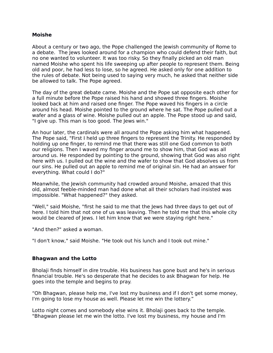### **Moishe**

About a century or two ago, the Pope challenged the Jewish community of Rome to a debate. The Jews looked around for a champion who could defend their faith, but no one wanted to volunteer. It was too risky. So they finally picked an old man named Moishe who spent his life sweeping up after people to represent them. Being old and poor, he had less to lose, so he agreed. He asked only for one addition to the rules of debate. Not being used to saying very much, he asked that neither side be allowed to talk. The Pope agreed.

The day of the great debate came. Moishe and the Pope sat opposite each other for a full minute before the Pope raised his hand and showed three fingers. Moishe looked back at him and raised one finger. The Pope waved his fingers in a circle around his head. Moishe pointed to the ground where he sat. The Pope pulled out a wafer and a glass of wine. Moishe pulled out an apple. The Pope stood up and said, "I give up. This man is too good. The Jews win."

An hour later, the cardinals were all around the Pope asking him what happened. The Pope said, "First I held up three fingers to represent the Trinity. He responded by holding up one finger, to remind me that there was still one God common to both our religions. Then I waved my finger around me to show him, that God was all around us. He responded by pointing to the ground, showing that God was also right here with us. I pulled out the wine and the wafer to show that God absolves us from our sins. He pulled out an apple to remind me of original sin. He had an answer for everything. What could I do?"

Meanwhile, the Jewish community had crowded around Moishe, amazed that this old, almost feeble-minded man had done what all their scholars had insisted was impossible. "What happened?" they asked.

"Well," said Moishe, "first he said to me that the Jews had three days to get out of here. I told him that not one of us was leaving. Then he told me that this whole city would be cleared of Jews. I let him know that we were staying right here."

"And then?" asked a woman.

"I don't know," said Moishe. "He took out his lunch and I took out mine."

#### **Bhagwan and the Lotto**

Bholaji finds himself in dire trouble. His business has gone bust and he's in serious financial trouble. He's so desperate that he decides to ask Bhagwan for help. He goes into the temple and begins to pray.

"Oh Bhagwan, please help me, I've lost my business and if I don't get some money, I'm going to lose my house as well. Please let me win the lottery."

Lotto night comes and somebody else wins it. Bholaji goes back to the temple. "Bhagwan please let me win the lotto. I've lost my business, my house and I'm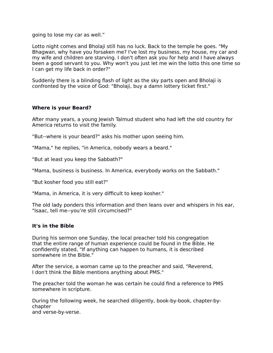going to lose my car as well."

Lotto night comes and Bholaji still has no luck. Back to the temple he goes. "My Bhagwan, why have you forsaken me? I've lost my business, my house, my car and my wife and children are starving. I don't often ask you for help and I have always been a good servant to you. Why won't you just let me win the lotto this one time so I can get my life back in order?"

Suddenly there is a blinding flash of light as the sky parts open and Bholaji is confronted by the voice of God: "Bholaji, buy a damn lottery ticket first."

### **Where is your Beard?**

After many years, a young Jewish Talmud student who had left the old country for America returns to visit the family.

"But--where is your beard?" asks his mother upon seeing him.

"Mama," he replies, "in America, nobody wears a beard."

"But at least you keep the Sabbath?"

"Mama, business is business. In America, everybody works on the Sabbath."

"But kosher food you still eat?"

"Mama, in America, it is very difficult to keep kosher."

The old lady ponders this information and then leans over and whispers in his ear, "Isaac, tell me--you're still circumcised?"

#### **It's in the Bible**

During his sermon one Sunday, the local preacher told his congregation that the entire range of human experience could be found in the Bible. He confidently stated, "If anything can happen to humans, it is described somewhere in the Bible."

After the service, a woman came up to the preacher and said, "Reverend, I don't think the Bible mentions anything about PMS."

The preacher told the woman he was certain he could find a reference to PMS somewhere in scripture.

During the following week, he searched diligently, book-by-book, chapter-bychapter

and verse-by-verse.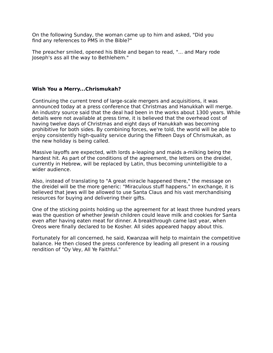On the following Sunday, the woman came up to him and asked, "Did you find any references to PMS in the Bible?"

The preacher smiled, opened his Bible and began to read, "... and Mary rode Joseph's ass all the way to Bethlehem."

### **Wish You a Merry...Chrismukah?**

Continuing the current trend of large-scale mergers and acquisitions, it was announced today at a press conference that Christmas and Hanukkah will merge. An industry source said that the deal had been in the works about 1300 years. While details were not available at press time, it is believed that the overhead cost of having twelve days of Christmas and eight days of Hanukkah was becoming prohibitive for both sides. By combining forces, we're told, the world will be able to enjoy consistently high-quality service during the Fifteen Days of Chrismukah, as the new holiday is being called.

Massive layoffs are expected, with lords a-leaping and maids a-milking being the hardest hit. As part of the conditions of the agreement, the letters on the dreidel, currently in Hebrew, will be replaced by Latin, thus becoming unintelligible to a wider audience.

Also, instead of translating to "A great miracle happened there," the message on the dreidel will be the more generic: "Miraculous stuff happens." In exchange, it is believed that Jews will be allowed to use Santa Claus and his vast merchandising resources for buying and delivering their gifts.

One of the sticking points holding up the agreement for at least three hundred years was the question of whether Jewish children could leave milk and cookies for Santa even after having eaten meat for dinner. A breakthrough came last year, when Oreos were finally declared to be Kosher. All sides appeared happy about this.

Fortunately for all concerned, he said, Kwanzaa will help to maintain the competitive balance. He then closed the press conference by leading all present in a rousing rendition of "Oy Vey, All Ye Faithful."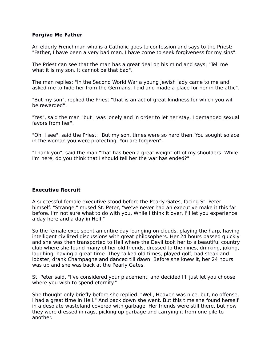### **Forgive Me Father**

An elderly Frenchman who is a Catholic goes to confession and says to the Priest: "Father, I have been a very bad man. I have come to seek forgiveness for my sins".

The Priest can see that the man has a great deal on his mind and says: "Tell me what it is my son. It cannot be that bad".

The man replies: "In the Second World War a young Jewish lady came to me and asked me to hide her from the Germans. I did and made a place for her in the attic".

"But my son", replied the Priest "that is an act of great kindness for which you will be rewarded".

"Yes", said the man "but I was lonely and in order to let her stay, I demanded sexual favors from her".

"Oh. I see", said the Priest. "But my son, times were so hard then. You sought solace in the woman you were protecting. You are forgiven".

"Thank you", said the man "that has been a great weight off of my shoulders. While I'm here, do you think that I should tell her the war has ended?"

#### **Executive Recruit**

A successful female executive stood before the Pearly Gates, facing St. Peter himself. "Strange," mused St. Peter, "we've never had an executive make it this far before. I'm not sure what to do with you. While I think it over, I'll let you experience a day here and a day in Hell."

So the female exec spent an entire day lounging on clouds, playing the harp, having intelligent civilized discussions with great philosophers. Her 24 hours passed quickly and she was then transported to Hell where the Devil took her to a beautiful country club where she found many of her old friends, dressed to the nines, drinking, joking, laughing, having a great time. They talked old times, played golf, had steak and lobster, drank Champagne and danced till dawn. Before she knew it, her 24 hours was up and she was back at the Pearly Gates.

St. Peter said, "I've considered your placement, and decided I'll just let you choose where you wish to spend eternity."

She thought only briefly before she replied. "Well, Heaven was nice, but, no offense, I had a great time in Hell." And back down she went. But this time she found herself in a desolate wasteland covered with garbage. Her friends were still there, but now they were dressed in rags, picking up garbage and carrying it from one pile to another.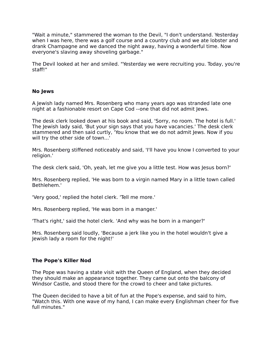"Wait a minute," stammered the woman to the Devil, "I don't understand. Yesterday when I was here, there was a golf course and a country club and we ate lobster and drank Champagne and we danced the night away, having a wonderful time. Now everyone's slaving away shoveling garbage."

The Devil looked at her and smiled. "Yesterday we were recruiting you. Today, you're staff!"

### **No Jews**

A Jewish lady named Mrs. Rosenberg who many years ago was stranded late one night at a fashionable resort on Cape Cod --one that did not admit Jews.

The desk clerk looked down at his book and said, 'Sorry, no room. The hotel is full.' The Jewish lady said, 'But your sign says that you have vacancies.' The desk clerk stammered and then said curtly, 'You know that we do not admit Jews. Now if you will try the other side of town...'

Mrs. Rosenberg stiffened noticeably and said, 'I'll have you know I converted to your religion.'

The desk clerk said, 'Oh, yeah, let me give you a little test. How was Jesus born?'

Mrs. Rosenberg replied, 'He was born to a virgin named Mary in a little town called Bethlehem.'

'Very good,' replied the hotel clerk. 'Tell me more.'

Mrs. Rosenberg replied, 'He was born in a manger.'

'That's right,' said the hotel clerk. 'And why was he born in a manger?'

Mrs. Rosenberg said loudly, 'Because a jerk like you in the hotel wouldn't give a Jewish lady a room for the night!'

#### **The Pope's Killer Nod**

The Pope was having a state visit with the Queen of England, when they decided they should make an appearance together. They came out onto the balcony of Windsor Castle, and stood there for the crowd to cheer and take pictures.

The Queen decided to have a bit of fun at the Pope's expense, and said to him, "Watch this. With one wave of my hand, I can make every Englishman cheer for five full minutes."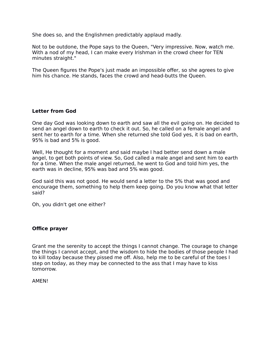She does so, and the Englishmen predictably applaud madly.

Not to be outdone, the Pope says to the Queen, "Very impressive. Now, watch me. With a nod of my head, I can make every Irishman in the crowd cheer for TEN minutes straight."

The Queen figures the Pope's just made an impossible offer, so she agrees to give him his chance. He stands, faces the crowd and head-butts the Queen.

### **Letter from God**

One day God was looking down to earth and saw all the evil going on. He decided to send an angel down to earth to check it out. So, he called on a female angel and sent her to earth for a time. When she returned she told God yes, it is bad on earth, 95% is bad and 5% is good.

Well, He thought for a moment and said maybe I had better send down a male angel, to get both points of view. So, God called a male angel and sent him to earth for a time. When the male angel returned, he went to God and told him yes, the earth was in decline, 95% was bad and 5% was good.

God said this was not good. He would send a letter to the 5% that was good and encourage them, something to help them keep going. Do you know what that letter said?

Oh, you didn't get one either?

#### **Office prayer**

Grant me the serenity to accept the things I cannot change. The courage to change the things I cannot accept, and the wisdom to hide the bodies of those people I had to kill today because they pissed me off. Also, help me to be careful of the toes I step on today, as they may be connected to the ass that I may have to kiss tomorrow.

#### AMEN!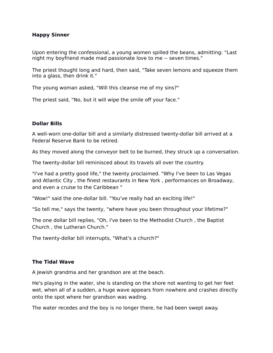## **Happy Sinner**

Upon entering the confessional, a young women spilled the beans, admitting: "Last night my boyfriend made mad passionate love to me -- seven times."

The priest thought long and hard, then said, "Take seven lemons and squeeze them into a glass, then drink it."

The young woman asked, "Will this cleanse me of my sins?"

The priest said, "No, but it will wipe the smile off your face."

## **Dollar Bills**

A well-worn one-dollar bill and a similarly distressed twenty-dollar bill arrived at a Federal Reserve Bank to be retired.

As they moved along the conveyor belt to be burned, they struck up a conversation.

The twenty-dollar bill reminisced about its travels all over the country.

"I've had a pretty good life," the twenty proclaimed. "Why I've been to Las Vegas and Atlantic City , the finest restaurants in New York , performances on Broadway, and even a cruise to the Caribbean "

"Wow!" said the one-dollar bill. "You've really had an exciting life!"

"So tell me," says the twenty, "where have you been throughout your lifetime?"

The one dollar bill replies, "Oh, I've been to the Methodist Church , the Baptist Church , the Lutheran Church."

The twenty-dollar bill interrupts, "What's a church?"

## **The Tidal Wave**

A Jewish grandma and her grandson are at the beach.

He's playing in the water, she is standing on the shore not wanting to get her feet wet, when all of a sudden, a huge wave appears from nowhere and crashes directly onto the spot where her grandson was wading.

The water recedes and the boy is no longer there, he had been swept away.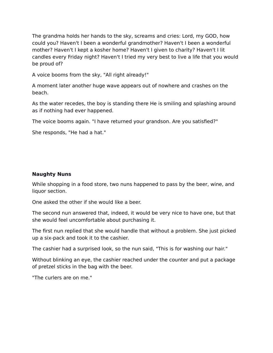The grandma holds her hands to the sky, screams and cries: Lord, my GOD, how could you? Haven't I been a wonderful grandmother? Haven't I been a wonderful mother? Haven't I kept a kosher home? Haven't I given to charity? Haven't I lit candles every Friday night? Haven't I tried my very best to live a life that you would be proud of?

A voice booms from the sky, "All right already!"

A moment later another huge wave appears out of nowhere and crashes on the beach.

As the water recedes, the boy is standing there He is smiling and splashing around as if nothing had ever happened.

The voice booms again. "I have returned your grandson. Are you satisfied?"

She responds, "He had a hat."

## **Naughty Nuns**

While shopping in a food store, two nuns happened to pass by the beer, wine, and liquor section.

One asked the other if she would like a beer.

The second nun answered that, indeed, it would be very nice to have one, but that she would feel uncomfortable about purchasing it.

The first nun replied that she would handle that without a problem. She just picked up a six-pack and took it to the cashier.

The cashier had a surprised look, so the nun said, "This is for washing our hair."

Without blinking an eye, the cashier reached under the counter and put a package of pretzel sticks in the bag with the beer.

"The curlers are on me."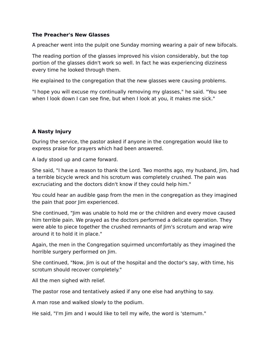## **The Preacher's New Glasses**

A preacher went into the pulpit one Sunday morning wearing a pair of new bifocals.

The reading portion of the glasses improved his vision considerably, but the top portion of the glasses didn't work so well. In fact he was experiencing dizziness every time he looked through them.

He explained to the congregation that the new glasses were causing problems.

"I hope you will excuse my continually removing my glasses," he said. "You see when I look down I can see fine, but when I look at you, it makes me sick."

# **A Nasty Injury**

During the service, the pastor asked if anyone in the congregation would like to express praise for prayers which had been answered.

A lady stood up and came forward.

She said, "I have a reason to thank the Lord. Two months ago, my husband, Jim, had a terrible bicycle wreck and his scrotum was completely crushed. The pain was excruciating and the doctors didn't know if they could help him."

You could hear an audible gasp from the men in the congregation as they imagined the pain that poor Jim experienced.

She continued, "Jim was unable to hold me or the children and every move caused him terrible pain. We prayed as the doctors performed a delicate operation. They were able to piece together the crushed remnants of Jim's scrotum and wrap wire around it to hold it in place."

Again, the men in the Congregation squirmed uncomfortably as they imagined the horrible surgery performed on Jim.

She continued, "Now, Jim is out of the hospital and the doctor's say, with time, his scrotum should recover completely."

All the men sighed with relief.

The pastor rose and tentatively asked if any one else had anything to say.

A man rose and walked slowly to the podium.

He said, "I'm Jim and I would like to tell my wife, the word is 'sternum."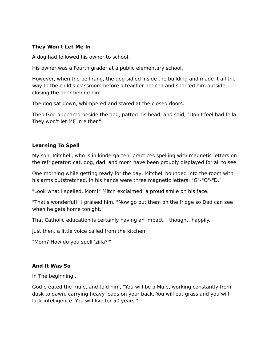## **They Won't Let Me In**

A dog had followed his owner to school.

His owner was a Fourth grader at a public elementary school.

However, when the bell rang, the dog sidled inside the building and made it all the way to the child's classroom before a teacher noticed and shoo'ed him outside, closing the door behind him.

The dog sat down, whimpered and stared at the closed doors.

Then God appeared beside the dog, patted his head, and said, "Don't feel bad fella. They won't let ME in either."

## **Learning To Spell**

My son, Mitchell, who is in kindergarten, practices spelling with magnetic letters on the refrigerator: cat, dog, dad, and mom have been proudly displayed for all to see.

One morning while getting ready for the day, Mitchell bounded into the room with his arms outstretched. In his hands were three magnetic letters: "G"-"O"-"D."

"Look what I spelled, Mom!" Mitch exclaimed, a proud smile on his face.

"That's wonderful!" I praised him. "Now go put them on the fridge so Dad can see when he gets home tonight."

That Catholic education is certainly having an impact, I thought, happily.

Just then, a little voice called from the kitchen.

"Mom? How do you spell 'zilla?'"

## **And It Was So**

In The beginning...

God created the mule, and told him, "You will be a Mule, working constantly from dusk to dawn, carrying heavy loads on your back. You will eat grass and you will lack intelligence. You will live for 50 years."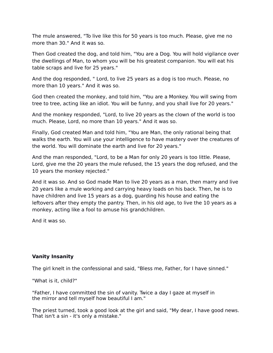The mule answered, "To live like this for 50 years is too much. Please, give me no more than 30." And it was so.

Then God created the dog, and told him, "You are a Dog. You will hold vigilance over the dwellings of Man, to whom you will be his greatest companion. You will eat his table scraps and live for 25 years."

And the dog responded, " Lord, to live 25 years as a dog is too much. Please, no more than 10 years." And it was so.

God then created the monkey, and told him, "You are a Monkey. You will swing from tree to tree, acting like an idiot. You will be funny, and you shall live for 20 years."

And the monkey responded, "Lord, to live 20 years as the clown of the world is too much. Please, Lord, no more than 10 years." And it was so.

Finally, God created Man and told him, "You are Man, the only rational being that walks the earth. You will use your intelligence to have mastery over the creatures of the world. You will dominate the earth and live for 20 years."

And the man responded, "Lord, to be a Man for only 20 years is too little. Please, Lord, give me the 20 years the mule refused, the 15 years the dog refused, and the 10 years the monkey rejected."

And it was so. And so God made Man to live 20 years as a man, then marry and live 20 years like a mule working and carrying heavy loads on his back. Then, he is to have children and live 15 years as a dog, guarding his house and eating the leftovers after they empty the pantry. Then, in his old age, to live the 10 years as a monkey, acting like a fool to amuse his grandchildren.

And it was so.

#### **Vanity Insanity**

The girl knelt in the confessional and said, "Bless me, Father, for I have sinned."

"What is it, child?"

"Father, I have committed the sin of vanity. Twice a day I gaze at myself in the mirror and tell myself how beautiful I am."

The priest turned, took a good look at the girl and said, "My dear, I have good news. That isn't a sin - it's only a mistake."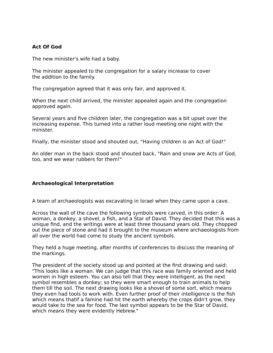# **Act Of God**

The new minister's wife had a baby.

The minister appealed to the congregation for a salary increase to cover the addition to the family.

The congregation agreed that it was only fair, and approved it.

When the next child arrived, the minister appealed again and the congregation approved again.

Several years and five children later, the congregation was a bit upset over the increasing expense. This turned into a rather loud meeting one night with the minister.

Finally, the minister stood and shouted out, "Having children is an Act of God!"

An older man in the back stood and shouted back, "Rain and snow are Acts of God, too, and we wear rubbers for them!"

## **Archaeological Interpretation**

A team of archaeologists was excavating in Israel when they came upon a cave.

Across the wall of the cave the following symbols were carved, in this order: A woman, a donkey, a shovel, a fish, and a Star of David. They decided that this was a unique find, and the writings were at least three thousand years old. They chopped out the piece of stone and had it brought to the museum where archaeologists from all over the world had come to study the ancient symbols.

They held a huge meeting, after months of conferences to discuss the meaning of the markings.

The president of the society stood up and pointed at the first drawing and said: "This looks like a woman. We can judge that this race was family oriented and held women in high esteem. You can also tell that they were intelligent, as the next symbol resembles a donkey; so they were smart enough to train animals to help them till the soil. The next drawing looks like a shovel of some sort, which means they even had tools to work with. Even further proof of their intelligence is the fish which means thatif a famine had hit the earth whereby the crops didn't grow, they would take to the sea for food. The last symbol appears to be the Star of David, which means they were evidently Hebrew."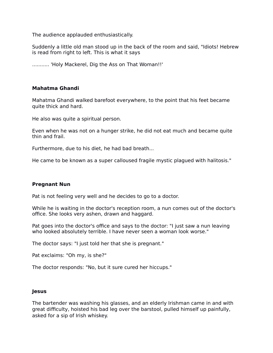The audience applauded enthusiastically.

Suddenly a little old man stood up in the back of the room and said, "Idiots! Hebrew is read from right to left. This is what it says

........... 'Holy Mackerel, Dig the Ass on That Woman!!'

## **Mahatma Ghandi**

Mahatma Ghandi walked barefoot everywhere, to the point that his feet became quite thick and hard.

He also was quite a spiritual person.

Even when he was not on a hunger strike, he did not eat much and became quite thin and frail.

Furthermore, due to his diet, he had bad breath...

He came to be known as a super calloused fragile mystic plagued with halitosis."

## **Pregnant Nun**

Pat is not feeling very well and he decides to go to a doctor.

While he is waiting in the doctor's reception room, a nun comes out of the doctor's office. She looks very ashen, drawn and haggard.

Pat goes into the doctor's office and says to the doctor: "I just saw a nun leaving who looked absolutely terrible. I have never seen a woman look worse."

The doctor says: "I just told her that she is pregnant."

Pat exclaims: "Oh my, is she?"

The doctor responds: "No, but it sure cured her hiccups."

#### **Jesus**

The bartender was washing his glasses, and an elderly Irishman came in and with great difficulty, hoisted his bad leg over the barstool, pulled himself up painfully, asked for a sip of Irish whiskey.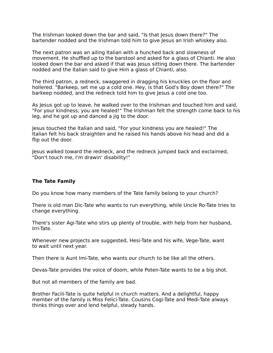The Irishman looked down the bar and said, "Is that Jesus down there?" The bartender nodded and the Irishman told him to give Jesus an Irish whiskey also.

The next patron was an ailing Italian with a hunched back and slowness of movement. He shuffled up to the barstool and asked for a glass of Chianti. He also looked down the bar and asked if that was Jesus sitting down there. The bartender nodded and the Italian said to give Him a glass of Chianti, also.

The third patron, a redneck, swaggered in dragging his knuckles on the floor and hollered. "Barkeep, set me up a cold one. Hey, is that God's Boy down there?" The barkeep nodded, and the redneck told him to give Jesus a cold one too.

As Jesus got up to leave, he walked over to the Irishman and touched him and said, "For your kindness, you are healed!" The Irishman felt the strength come back to his leg, and he got up and danced a jig to the door.

Jesus touched the Italian and said, "For your kindness you are healed!" The Italian felt his back straighten and he raised his hands above his head and did a flip out the door.

Jesus walked toward the redneck, and the redneck jumped back and exclaimed, "Don't touch me, I'm drawin' disability!"

## **The Tate Family**

Do you know how many members of the Tate family belong to your church?

There is old man Dic-Tate who wants to run everything, while Uncle Ro-Tate tries to change everything.

There's sister Agi-Tate who stirs up plenty of trouble, with help from her husband, Irri-Tate.

Whenever new projects are suggested, Hesi-Tate and his wife, Vege-Tate, want to wait until next year.

Then there is Aunt Imi-Tate, who wants our church to be like all the others.

Devas-Tate provides the voice of doom, while Poten-Tate wants to be a big shot.

But not all members of the family are bad.

Brother Facili-Tate is quite helpful in church matters. And a delightful, happy member of the family is Miss Felici-Tate. Cousins Cogi-Tate and Medi-Tate always thinks things over and lend helpful, steady hands.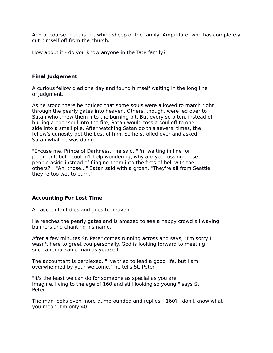And of course there is the white sheep of the family, Ampu-Tate, who has completely cut himself off from the church.

How about it - do you know anyone in the Tate family?

### **Final Judgement**

A curious fellow died one day and found himself waiting in the long line of judgment.

As he stood there he noticed that some souls were allowed to march right through the pearly gates into heaven. Others, though, were led over to Satan who threw them into the burning pit. But every so often, instead of hurling a poor soul into the fire, Satan would toss a soul off to one side into a small pile. After watching Satan do this several times, the fellow's curiosity got the best of him. So he strolled over and asked Satan what he was doing.

"Excuse me, Prince of Darkness," he said. "I'm waiting in line for judgment, but I couldn't help wondering, why are you tossing those people aside instead of flinging them into the fires of hell with the others?" "Ah, those..." Satan said with a groan. "They're all from Seattle, they're too wet to burn."

## **Accounting For Lost Time**

An accountant dies and goes to heaven.

He reaches the pearly gates and is amazed to see a happy crowd all waving banners and chanting his name.

After a few minutes St. Peter comes running across and says, "I'm sorry I wasn't here to greet you personally. God is looking forward to meeting such a remarkable man as yourself."

The accountant is perplexed. "I've tried to lead a good life, but I am overwhelmed by your welcome," he tells St. Peter.

"It's the least we can do for someone as special as you are. Imagine, living to the age of 160 and still looking so young," says St. Peter.

The man looks even more dumbfounded and replies, "160? I don't know what you mean. I'm only 40."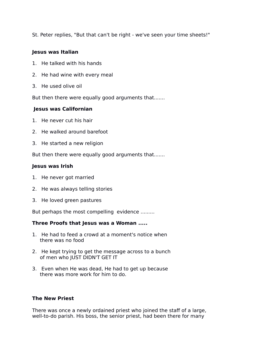St. Peter replies, "But that can't be right - we've seen your time sheets!"

## **Jesus was Italian**

- 1. He talked with his hands
- 2. He had wine with every meal
- 3. He used olive oil

But then there were equally good arguments that.......

### **Jesus was Californian**

- 1. He never cut his hair
- 2. He walked around barefoot
- 3. He started a new religion

But then there were equally good arguments that.......

### **Jesus was Irish**

- 1. He never got married
- 2. He was always telling stories
- 3. He loved green pastures

But perhaps the most compelling evidence .........

#### **Three Proofs that Jesus was a Woman .....**

- 1. He had to feed a crowd at a moment's notice when there was no food
- 2. He kept trying to get the message across to a bunch of men who JUST DIDN'T GET IT
- 3. Even when He was dead, He had to get up because there was more work for him to do.

## **The New Priest**

There was once a newly ordained priest who joined the staff of a large, well-to-do parish. His boss, the senior priest, had been there for many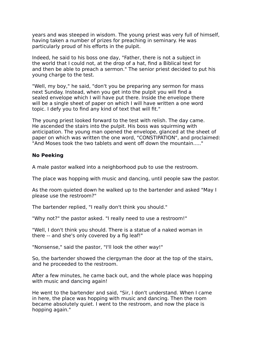years and was steeped in wisdom. The young priest was very full of himself, having taken a number of prizes for preaching in seminary. He was particularly proud of his efforts in the pulpit.

Indeed, he said to his boss one day, "Father, there is not a subject in the world that I could not, at the drop of a hat, find a Biblical text for and then be able to preach a sermon." The senior priest decided to put his young charge to the test.

"Well, my boy," he said, "don't you be preparing any sermon for mass next Sunday. Instead, when you get into the pulpit you will find a sealed envelope which I will have put there. Inside the envelope there will be a single sheet of paper on which I will have written a one word topic. I defy you to find any kind of text that will fit."

The young priest looked forward to the test with relish. The day came. He ascended the stairs into the pulpit. His boss was squirming with anticipation. The young man opened the envelope, glanced at the sheet of paper on which was written the one word, "CONSTIPATION", and proclaimed: "And Moses took the two tablets and went off down the mountain....."

### **No Peeking**

A male pastor walked into a neighborhood pub to use the restroom.

The place was hopping with music and dancing, until people saw the pastor.

As the room quieted down he walked up to the bartender and asked "May I please use the restroom?"

The bartender replied, "I really don't think you should."

"Why not?" the pastor asked. "I really need to use a restroom!"

"Well, I don't think you should. There is a statue of a naked woman in there -- and she's only covered by a fig leaf!"

"Nonsense," said the pastor, "I'll look the other way!"

So, the bartender showed the clergyman the door at the top of the stairs, and he proceeded to the restroom.

After a few minutes, he came back out, and the whole place was hopping with music and dancing again!

He went to the bartender and said, "Sir, I don't understand. When I came in here, the place was hopping with music and dancing. Then the room became absolutely quiet. I went to the restroom, and now the place is hopping again."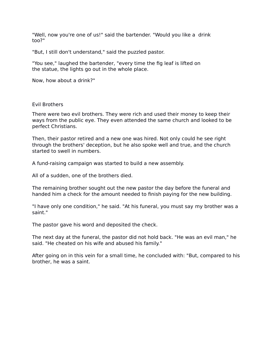"Well, now you're one of us!" said the bartender. "Would you like a drink too?"

"But, I still don't understand," said the puzzled pastor.

"You see," laughed the bartender, "every time the fig leaf is lifted on the statue, the lights go out in the whole place.

Now, how about a drink?"

#### Evil Brothers

There were two evil brothers. They were rich and used their money to keep their ways from the public eye. They even attended the same church and looked to be perfect Christians.

Then, their pastor retired and a new one was hired. Not only could he see right through the brothers' deception, but he also spoke well and true, and the church started to swell in numbers.

A fund-raising campaign was started to build a new assembly.

All of a sudden, one of the brothers died.

The remaining brother sought out the new pastor the day before the funeral and handed him a check for the amount needed to finish paying for the new building.

"I have only one condition," he said. "At his funeral, you must say my brother was a saint."

The pastor gave his word and deposited the check.

The next day at the funeral, the pastor did not hold back. "He was an evil man," he said. "He cheated on his wife and abused his family."

After going on in this vein for a small time, he concluded with: "But, compared to his brother, he was a saint.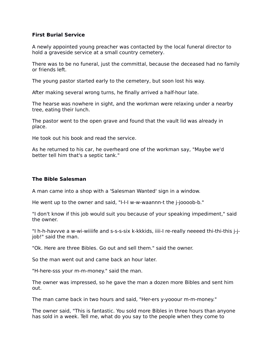### **First Burial Service**

A newly appointed young preacher was contacted by the local funeral director to hold a graveside service at a small country cemetery.

There was to be no funeral, just the committal, because the deceased had no family or friends left.

The young pastor started early to the cemetery, but soon lost his way.

After making several wrong turns, he finally arrived a half-hour late.

The hearse was nowhere in sight, and the workman were relaxing under a nearby tree, eating their lunch.

The pastor went to the open grave and found that the vault lid was already in place.

He took out his book and read the service.

As he returned to his car, he overheard one of the workman say, "Maybe we'd better tell him that's a septic tank."

### **The Bible Salesman**

A man came into a shop with a 'Salesman Wanted' sign in a window.

He went up to the owner and said, "I-I-I w-w-waannn-t the j-joooob-b."

"I don't know if this job would suit you because of your speaking impediment," said the owner.

"I h-h-havvve a w-wi-wiiiife and s-s-s-six k-kkkids, iiii-I re-really neeeed thi-thi-this j-jjob!" said the man.

"Ok. Here are three Bibles. Go out and sell them." said the owner.

So the man went out and came back an hour later.

"H-here-sss your m-m-money." said the man.

The owner was impressed, so he gave the man a dozen more Bibles and sent him out.

The man came back in two hours and said, "Her-ers y-yooour m-m-money."

The owner said, "This is fantastic. You sold more Bibles in three hours than anyone has sold in a week. Tell me, what do you say to the people when they come to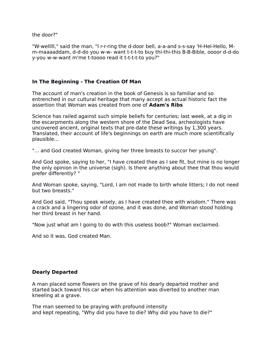the door?"

"W-welllll," said the man, "I r-r-ring the d-door bell, a-a-and s-s-say 'H-Hel-Hello, Mm-maaaaddam, d-d-do you w-w- want t-t-t-to buy thi-thi-this B-B-Bible, oooor d-d-do y-you w-w-want m'me t-toooo read it t-t-t-t-to you?"

### **In The Beginning - The Creation Of Man**

The account of man's creation in the book of Genesis is so familiar and so entrenched in our cultural heritage that many accept as actual historic fact the assertion that Woman was created from one of **Adam's Ribs**

Science has railed against such simple beliefs for centuries; last week, at a dig in the escarpments along the western shore of the Dead Sea, archeologists have uncovered ancient, original texts that pre-date these writings by 1,300 years. Translated, their account of life's beginnings on earth are much more scientifically plausible...

"... and God created Woman, giving her three breasts to succor her young".

And God spoke, saying to her, "I have created thee as I see fit, but mine is no longer the only opinion in the universe (sigh). Is there anything about thee that thou would prefer differently? "

And Woman spoke, saying, "Lord, I am not made to birth whole litters; I do not need but two breasts."

And God said, "Thou speak wisely, as I have created thee with wisdom." There was a crack and a lingering odor of ozone, and it was done, and Woman stood holding her third breast in her hand.

"Now just what am I going to do with this useless boob?" Woman exclaimed.

And so it was, God created Man.

#### **Dearly Departed**

A man placed some flowers on the grave of his dearly departed mother and started back toward his car when his attention was diverted to another man kneeling at a grave.

The man seemed to be praying with profound intensity and kept repeating, "Why did you have to die? Why did you have to die?"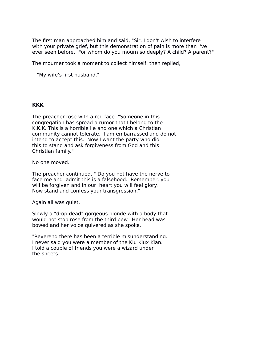The first man approached him and said, "Sir, I don't wish to interfere with your private grief, but this demonstration of pain is more than I've ever seen before. For whom do you mourn so deeply? A child? A parent?"

The mourner took a moment to collect himself, then replied,

"My wife's first husband."

#### **KKK**

The preacher rose with a red face. "Someone in this congregation has spread a rumor that I belong to the K.K.K. This is a horrible lie and one which a Christian community cannot tolerate. I am embarrassed and do not intend to accept this. Now I want the party who did this to stand and ask forgiveness from God and this Christian family."

No one moved.

The preacher continued, " Do you not have the nerve to face me and admit this is a falsehood. Remember, you will be forgiven and in our heart you will feel glory. Now stand and confess your transgression."

Again all was quiet.

Slowly a "drop dead" gorgeous blonde with a body that would not stop rose from the third pew. Her head was bowed and her voice quivered as she spoke.

"Reverend there has been a terrible misunderstanding. I never said you were a member of the Klu Klux Klan. I told a couple of friends you were a wizard under the sheets.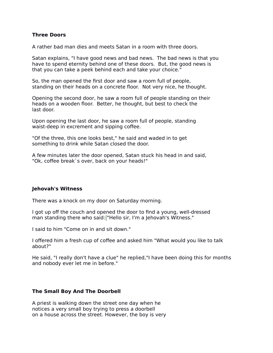### **Three Doors**

A rather bad man dies and meets Satan in a room with three doors.

Satan explains, "I have good news and bad news. The bad news is that you have to spend eternity behind one of these doors. But, the good news is that you can take a peek behind each and take your choice."

So, the man opened the first door and saw a room full of people, standing on their heads on a concrete floor. Not very nice, he thought.

Opening the second door, he saw a room full of people standing on their heads on a wooden floor. Better, he thought, but best to check the last door.

Upon opening the last door, he saw a room full of people, standing waist-deep in excrement and sipping coffee.

"Of the three, this one looks best," he said and waded in to get something to drink while Satan closed the door.

A few minutes later the door opened, Satan stuck his head in and said, "Ok, coffee break`s over, back on your heads!"

#### **Jehovah's Witness**

There was a knock on my door on Saturday morning.

I got up off the couch and opened the door to find a young, well-dressed man standing there who said: "Hello sir, I'm a Jehovah's Witness."

I said to him "Come on in and sit down."

I offered him a fresh cup of coffee and asked him "What would you like to talk about?"

He said, "I really don't have a clue" he replied,"I have been doing this for months and nobody ever let me in before."

#### **The Small Boy And The Doorbell**

A priest is walking down the street one day when he notices a very small boy trying to press a doorbell on a house across the street. However, the boy is very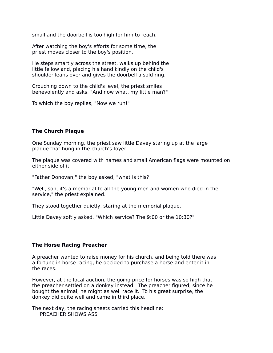small and the doorbell is too high for him to reach.

After watching the boy's efforts for some time, the priest moves closer to the boy's position.

He steps smartly across the street, walks up behind the little fellow and, placing his hand kindly on the child's shoulder leans over and gives the doorbell a sold ring.

Crouching down to the child's level, the priest smiles benevolently and asks, "And now what, my little man?"

To which the boy replies, "Now we run!"

## **The Church Plaque**

One Sunday morning, the priest saw little Davey staring up at the large plaque that hung in the church's foyer.

The plaque was covered with names and small American flags were mounted on either side of it.

"Father Donovan," the boy asked, "what is this?

"Well, son, it's a memorial to all the young men and women who died in the service," the priest explained.

They stood together quietly, staring at the memorial plaque.

Little Davey softly asked, "Which service? The 9:00 or the 10:30?"

#### **The Horse Racing Preacher**

A preacher wanted to raise money for his church, and being told there was a fortune in horse racing, he decided to purchase a horse and enter it in the races.

However, at the local auction, the going price for horses was so high that the preacher settled on a donkey instead. The preacher figured, since he bought the animal, he might as well race it. To his great surprise, the donkey did quite well and came in third place.

The next day, the racing sheets carried this headline: PREACHER SHOWS ASS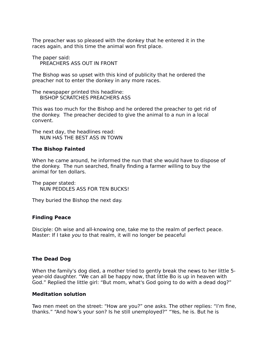The preacher was so pleased with the donkey that he entered it in the races again, and this time the animal won first place.

The paper said: PREACHERS ASS OUT IN FRONT

The Bishop was so upset with this kind of publicity that he ordered the preacher not to enter the donkey in any more races.

The newspaper printed this headline: BISHOP SCRATCHES PREACHERS ASS

This was too much for the Bishop and he ordered the preacher to get rid of the donkey. The preacher decided to give the animal to a nun in a local convent.

The next day, the headlines read: NUN HAS THE BEST ASS IN TOWN

#### **The Bishop Fainted**

When he came around, he informed the nun that she would have to dispose of the donkey. The nun searched, finally finding a farmer willing to buy the animal for ten dollars.

The paper stated: NUN PEDDLES ASS FOR TEN BUCKS!

They buried the Bishop the next day.

#### **Finding Peace**

Disciple: Oh wise and all-knowing one, take me to the realm of perfect peace. Master: If I take you to that realm, it will no longer be peaceful

## **The Dead Dog**

When the family's dog died, a mother tried to gently break the news to her little 5 year-old daughter. "We can all be happy now, that little Bo is up in heaven with God." Replied the little girl: "But mom, what's God going to do with a dead dog?"

### **Meditation solution**

Two men meet on the street: "How are you?" one asks. The other replies: "I'm fine, thanks." "And how's your son? Is he still unemployed?" "Yes, he is. But he is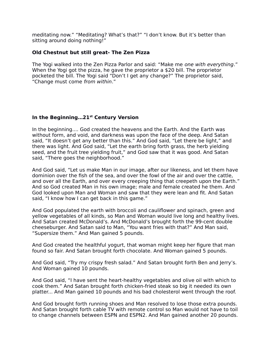meditating now." "Meditating? What's that?" "I don't know. But it's better than sitting around doing nothing!"

## **Old Chestnut but still great- The Zen Pizza**

The Yogi walked into the Zen Pizza Parlor and said: "Make me one with everything." When the Yogi got the pizza, he gave the proprietor a \$20 bill. The proprietor pocketed the bill. The Yogi said "Don't I get any change?" The proprietor said, "Change must come from within."

### **In the Beginning…21st Century Version**

In the beginning.... God created the heavens and the Earth. And the Earth was without form, and void, and darkness was upon the face of the deep. And Satan said, "It doesn't get any better than this." And God said, "Let there be light," and there was light. And God said, "Let the earth bring forth grass, the herb yielding seed, and the fruit tree yielding fruit," and God saw that it was good. And Satan said, "There goes the neighborhood."

And God said, "Let us make Man in our image, after our likeness, and let them have dominion over the fish of the sea, and over the fowl of the air and over the cattle, and over all the Earth, and over every creeping thing that creepeth upon the Earth." And so God created Man in his own image; male and female created he them. And God looked upon Man and Woman and saw that they were lean and fit. And Satan said, "I know how I can get back in this game."

And God populated the earth with broccoli and cauliflower and spinach, green and yellow vegetables of all kinds, so Man and Woman would live long and healthy lives. And Satan created McDonald's. And McDonald's brought forth the 99-cent double cheeseburger. And Satan said to Man, "You want fries with that?" And Man said, "Supersize them." And Man gained 5 pounds.

And God created the healthful yogurt, that woman might keep her figure that man found so fair. And Satan brought forth chocolate. And Woman gained 5 pounds.

And God said, "Try my crispy fresh salad." And Satan brought forth Ben and Jerry's. And Woman gained 10 pounds.

And God said, "I have sent the heart-healthy vegetables and olive oil with which to cook them." And Satan brought forth chicken-fried steak so big it needed its own platter... And Man gained 10 pounds and his bad cholesterol went through the roof.

And God brought forth running shoes and Man resolved to lose those extra pounds. And Satan brought forth cable TV with remote control so Man would not have to toil to change channels between ESPN and ESPN2. And Man gained another 20 pounds.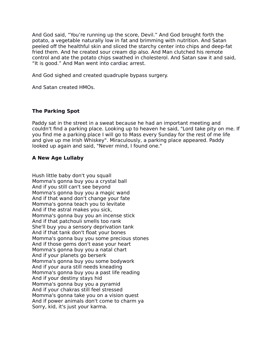And God said, "You're running up the score, Devil." And God brought forth the potato, a vegetable naturally low in fat and brimming with nutrition. And Satan peeled off the healthful skin and sliced the starchy center into chips and deep-fat fried them. And he created sour cream dip also. And Man clutched his remote control and ate the potato chips swathed in cholesterol. And Satan saw it and said, "It is good." And Man went into cardiac arrest.

And God sighed and created quadruple bypass surgery.

And Satan created HMOs.

## **The Parking Spot**

Paddy sat in the street in a sweat because he had an important meeting and couldn't find a parking place. Looking up to heaven he said, "Lord take pity on me. If you find me a parking place I will go to Mass every Sunday for the rest of me life and give up me Irish Whiskey". Miraculously, a parking place appeared. Paddy looked up again and said, "Never mind, I found one."

## **A New Age Lullaby**

Hush little baby don't you squall Momma's gonna buy you a crystal ball And if you still can't see beyond Momma's gonna buy you a magic wand And if that wand don't change your fate Momma's gonna teach you to levitate And if the astral makes you sick, Momma's gonna buy you an incense stick And if that patchouli smells too rank She'll buy you a sensory deprivation tank And if that tank don't float your bones Momma's gonna buy you some precious stones And if those gems don't ease your heart Momma's gonna buy you a natal chart And if your planets go berserk Momma's gonna buy you some bodywork And if your aura still needs kneading Momma's gonna buy you a past life reading And if your destiny stays hid Momma's gonna buy you a pyramid And if your chakras still feel stressed Momma's gonna take you on a vision quest And if power animals don't come to charm ya Sorry, kid, it's just your karma.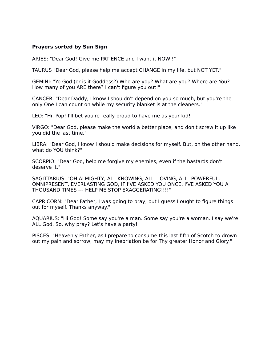### **Prayers sorted by Sun Sign**

ARIES: "Dear God! Give me PATIENCE and I want it NOW !"

TAURUS "Dear God, please help me accept CHANGE in my life, but NOT YET."

GEMINI: "Yo God (or is it Goddess?).Who are you? What are you? Where are You? How many of you ARE there? I can't figure you out!"

CANCER: "Dear Daddy, I know I shouldn't depend on you so much, but you're the only One I can count on while my security blanket is at the cleaners."

LEO: "Hi, Pop! I'll bet you're really proud to have me as your kid!"

VIRGO: "Dear God, please make the world a better place, and don't screw it up like you did the last time."

LIBRA: "Dear God, I know I should make decisions for myself. But, on the other hand, what do YOU think?"

SCORPIO: "Dear God, help me forgive my enemies, even if the bastards don't deserve it."

SAGITTARIUS: "OH ALMIGHTY, ALL KNOWING, ALL -LOVING, ALL -POWERFUL, OMNIPRESENT, EVERLASTING GOD, IF I'VE ASKED YOU ONCE, I'VE ASKED YOU A THOUSAND TIMES --- HELP ME STOP EXAGGERATING!!!!"

CAPRICORN: "Dear Father, I was going to pray, but I guess I ought to figure things out for myself. Thanks anyway."

AQUARIUS: "Hi God! Some say you're a man. Some say you're a woman. I say we're ALL God. So, why pray? Let's have a party!"

PISCES: "Heavenly Father, as I prepare to consume this last fifth of Scotch to drown out my pain and sorrow, may my inebriation be for Thy greater Honor and Glory."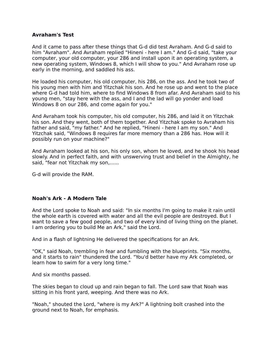### **Avraham's Test**

And it came to pass after these things that G-d did test Avraham. And G-d said to him "Avraham". And Avraham replied "Hineni - here I am." And G-d said, "take your computer, your old computer, your 286 and install upon it an operating system, a new operating system, Windows 8, which I will show to you." And Avraham rose up early in the morning, and saddled his ass.

He loaded his computer, his old computer, his 286, on the ass. And he took two of his young men with him and Yitzchak his son. And he rose up and went to the place where G-d had told him, where to find Windows 8 from afar. And Avraham said to his young men, "stay here with the ass, and I and the lad will go yonder and load Windows 8 on our 286, and come again for you."

And Avraham took his computer, his old computer, his 286, and laid it on Yitzchak his son. And they went, both of them together. And Yitzchak spoke to Avraham his father and said, "my father." And he replied, "Hineni - here I am my son." And Yitzchak said, "Windows 8 requires far more memory than a 286 has. How will it possibly run on your machine?"

And Avraham looked at his son, his only son, whom he loved, and he shook his head slowly. And in perfect faith, and with unswerving trust and belief in the Almighty, he said, "fear not Yitzchak my son,......

G-d will provide the RAM.

## **Noah's Ark - A Modern Tale**

And the Lord spoke to Noah and said: "In six months I'm going to make it rain until the whole earth is covered with water and all the evil people are destroyed. But I want to save a few good people, and two of every kind of living thing on the planet. I am ordering you to build Me an Ark," said the Lord.

And in a flash of lightning He delivered the specifications for an Ark.

"OK," said Noah, trembling in fear and fumbling with the blueprints. "Six months, and it starts to rain" thundered the Lord. "You'd better have my Ark completed, or learn how to swim for a very long time."

And six months passed.

The skies began to cloud up and rain began to fall. The Lord saw that Noah was sitting in his front yard, weeping. And there was no Ark.

"Noah," shouted the Lord, "where is my Ark?" A lightning bolt crashed into the ground next to Noah, for emphasis.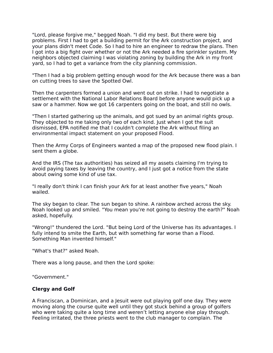"Lord, please forgive me," begged Noah. "I did my best. But there were big problems. First I had to get a building permit for the Ark construction project, and your plans didn't meet Code. So I had to hire an engineer to redraw the plans. Then I got into a big fight over whether or not the Ark needed a fire sprinkler system. My neighbors objected claiming I was violating zoning by building the Ark in my front yard, so I had to get a variance from the city planning commission.

"Then I had a big problem getting enough wood for the Ark because there was a ban on cutting trees to save the Spotted Owl.

Then the carpenters formed a union and went out on strike. I had to negotiate a settlement with the National Labor Relations Board before anyone would pick up a saw or a hammer. Now we got 16 carpenters going on the boat, and still no owls.

"Then I started gathering up the animals, and got sued by an animal rights group. They objected to me taking only two of each kind. Just when I got the suit dismissed, EPA notified me that I couldn't complete the Ark without filing an environmental impact statement on your proposed Flood.

Then the Army Corps of Engineers wanted a map of the proposed new flood plain. I sent them a globe.

And the IRS (The tax authorities) has seized all my assets claiming I'm trying to avoid paying taxes by leaving the country, and I just got a notice from the state about owing some kind of use tax.

"I really don't think I can finish your Ark for at least another five years," Noah wailed.

The sky began to clear. The sun began to shine. A rainbow arched across the sky. Noah looked up and smiled. "You mean you're not going to destroy the earth?" Noah asked, hopefully.

"Wrong!" thundered the Lord. "But being Lord of the Universe has its advantages. I fully intend to smite the Earth, but with something far worse than a Flood. Something Man invented himself."

"What's that?" asked Noah.

There was a long pause, and then the Lord spoke:

"Government."

#### **Clergy and Golf**

A Franciscan, a Dominican, and a Jesuit were out playing golf one day. They were moving along the course quite well until they got stuck behind a group of golfers who were taking quite a long time and weren't letting anyone else play through. Feeling irritated, the three priests went to the club manager to complain. The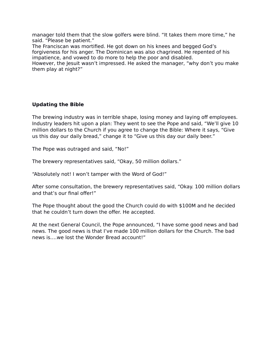manager told them that the slow golfers were blind. "It takes them more time," he said. "Please be patient."

The Franciscan was mortified. He got down on his knees and begged God's forgiveness for his anger. The Dominican was also chagrined. He repented of his impatience, and vowed to do more to help the poor and disabled. However, the Jesuit wasn't impressed. He asked the manager, "why don't you make them play at night?"

## **Updating the Bible**

The brewing industry was in terrible shape, losing money and laying off employees. Industry leaders hit upon a plan: They went to see the Pope and said, "We'll give 10 million dollars to the Church if you agree to change the Bible: Where it says, "Give us this day our daily bread," change it to "Give us this day our daily beer."

The Pope was outraged and said, "No!"

The brewery representatives said, "Okay, 50 million dollars."

"Absolutely not! I won't tamper with the Word of God!"

After some consultation, the brewery representatives said, "Okay. 100 million dollars and that's our final offer!"

The Pope thought about the good the Church could do with \$100M and he decided that he couldn't turn down the offer. He accepted.

At the next General Council, the Pope announced, "I have some good news and bad news. The good news is that I've made 100 million dollars for the Church. The bad news is….we lost the Wonder Bread account!"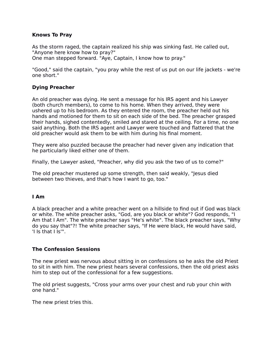### **Knows To Pray**

As the storm raged, the captain realized his ship was sinking fast. He called out, "Anyone here know how to pray?"

One man stepped forward. "Aye, Captain, I know how to pray."

"Good," said the captain, "you pray while the rest of us put on our life jackets - we're one short."

## **Dying Preacher**

An old preacher was dying. He sent a message for his IRS agent and his Lawyer (both church members), to come to his home. When they arrived, they were ushered up to his bedroom. As they entered the room, the preacher held out his hands and motioned for them to sit on each side of the bed. The preacher grasped their hands, sighed contentedly, smiled and stared at the ceiling. For a time, no one said anything. Both the IRS agent and Lawyer were touched and flattered that the old preacher would ask them to be with him during his final moment.

They were also puzzled because the preacher had never given any indication that he particularly liked either one of them.

Finally, the Lawyer asked, "Preacher, why did you ask the two of us to come?"

The old preacher mustered up some strength, then said weakly, "Jesus died between two thieves, and that's how I want to go, too."

#### **I Am**

A black preacher and a white preacher went on a hillside to find out if God was black or white. The white preacher asks, "God, are you black or white"? God responds, "I Am that I Am". The white preacher says "He's white". The black preacher says, "Why do you say that"?! The white preacher says, "If He were black, He would have said, 'I Is that I Is'".

#### **The Confession Sessions**

The new priest was nervous about sitting in on confessions so he asks the old Priest to sit in with him. The new priest hears several confessions, then the old priest asks him to step out of the confessional for a few suggestions.

The old priest suggests, "Cross your arms over your chest and rub your chin with one hand."

The new priest tries this.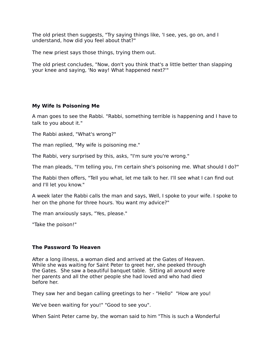The old priest then suggests, "Try saying things like, 'I see, yes, go on, and I understand, how did you feel about that?"

The new priest says those things, trying them out.

The old priest concludes, "Now, don't you think that's a little better than slapping your knee and saying, 'No way! What happened next?'"

### **My Wife Is Poisoning Me**

A man goes to see the Rabbi. "Rabbi, something terrible is happening and I have to talk to you about it."

The Rabbi asked, "What's wrong?"

The man replied, "My wife is poisoning me."

The Rabbi, very surprised by this, asks, "I'm sure you're wrong."

The man pleads, "I'm telling you, I'm certain she's poisoning me. What should I do?"

The Rabbi then offers, "Tell you what, let me talk to her. I'll see what I can find out and I'll let you know."

A week later the Rabbi calls the man and says, Well, I spoke to your wife. I spoke to her on the phone for three hours. You want my advice?"

The man anxiously says, "Yes, please."

"Take the poison!"

#### **The Password To Heaven**

After a long illness, a woman died and arrived at the Gates of Heaven. While she was waiting for Saint Peter to greet her, she peeked through the Gates. She saw a beautiful banquet table. Sitting all around were her parents and all the other people she had loved and who had died before her.

They saw her and began calling greetings to her - "Hello" "How are you!

We've been waiting for you!" "Good to see you".

When Saint Peter came by, the woman said to him "This is such a Wonderful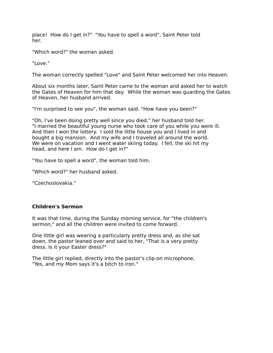place! How do I get in?" "You have to spell a word", Saint Peter told her.

"Which word?" the woman asked.

"Love."

The woman correctly spelled "Love" and Saint Peter welcomed her into Heaven.

About six months later, Saint Peter came to the woman and asked her to watch the Gates of Heaven for him that day. While the woman was guarding the Gates of Heaven, her husband arrived.

"I'm surprised to see you", the woman said. "How have you been?"

"Oh, I've been doing pretty well since you died," her husband told her. "I married the beautiful young nurse who took care of you while you were ill. And then I won the lottery. I sold the little house you and I lived in and bought a big mansion. And my wife and I traveled all around the world. We were on vacation and I went water skiing today. I fell, the ski hit my head, and here I am. How do I get in?"

"You have to spell a word", the woman told him.

"Which word?" her husband asked.

"Czechoslovakia."

#### **Children's Sermon**

It was that time, during the Sunday morning service, for "the children's sermon," and all the children were invited to come forward.

One little girl was wearing a particularly pretty dress and, as she sat down, the pastor leaned over and said to her, "That is a very pretty dress. Is it your Easter dress?"

The little girl replied, directly into the pastor's clip-on microphone, "Yes, and my Mom says it's a bitch to iron."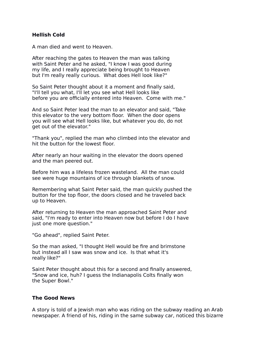### **Hellish Cold**

A man died and went to Heaven.

After reaching the gates to Heaven the man was talking with Saint Peter and he asked, "I know I was good during my life, and I really appreciate being brought to Heaven but I'm really really curious. What does Hell look like?"

So Saint Peter thought about it a moment and finally said, "I'll tell you what, I'll let you see what Hell looks like before you are officially entered into Heaven. Come with me."

And so Saint Peter lead the man to an elevator and said, "Take this elevator to the very bottom floor. When the door opens you will see what Hell looks like, but whatever you do, do not get out of the elevator."

"Thank you", replied the man who climbed into the elevator and hit the button for the lowest floor.

After nearly an hour waiting in the elevator the doors opened and the man peered out.

Before him was a lifeless frozen wasteland. All the man could see were huge mountains of ice through blankets of snow.

Remembering what Saint Peter said, the man quickly pushed the button for the top floor, the doors closed and he traveled back up to Heaven.

After returning to Heaven the man approached Saint Peter and said, "I'm ready to enter into Heaven now but before I do I have just one more question."

"Go ahead", replied Saint Peter.

So the man asked, "I thought Hell would be fire and brimstone but instead all I saw was snow and ice. Is that what it's really like?"

Saint Peter thought about this for a second and finally answered, "Snow and ice, huh? I guess the Indianapolis Colts finally won the Super Bowl."

#### **The Good News**

A story is told of a Jewish man who was riding on the subway reading an Arab newspaper. A friend of his, riding in the same subway car, noticed this bizarre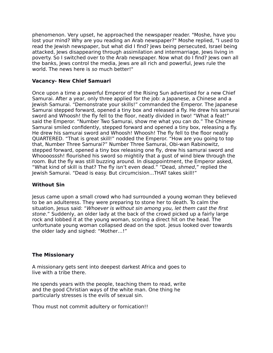phenomenon. Very upset, he approached the newspaper reader. "Moshe, have you lost your mind? Why are you reading an Arab newspaper?" Moshe replied, "I used to read the Jewish newspaper, but what did I find? Jews being persecuted, Israel being attacked, Jews disappearing through assimilation and intermarriage, Jews living in poverty. So I switched over to the Arab newspaper. Now what do I find? Jews own all the banks, Jews control the media, Jews are all rich and powerful, Jews rule the world. The news here is so much better!"

## **Vacancy- New Chief Samuari**

Once upon a time a powerful Emperor of the Rising Sun advertised for a new Chief Samurai. After a year, only three applied for the job: a Japanese, a Chinese and a Jewish Samurai. "Demonstrate your skills!" commanded the Emperor. The Japanese Samurai stepped forward, opened a tiny box and released a fly. He drew his samurai sword and Whoosh! the fly fell to the floor, neatly divided in two! "What a feat!" said the Emperor. "Number Two Samurai, show me what you can do." The Chinese Samurai smiled confidently, stepped forward and opened a tiny box, releasing a fly. He drew his samurai sword and Whoosh! Whoosh! The fly fell to the floor neatly QUARTERED. "That is great skill!" nodded the Emperor. "How are you going to top that, Number Three Samurai?" Number Three Samurai, Obi-wan Rabinowitz, stepped forward, opened a tiny box releasing one fly, drew his samurai sword and Whoooosssh! flourished his sword so mightily that a gust of wind blew through the room. But the fly was still buzzing around. In disappointment, the Emperor asked, "What kind of skill is that? The fly isn't even dead." "Dead, shmed," replied the Jewish Samurai. "Dead is easy. But circumcision...THAT takes skill!"

#### **Without Sin**

Jesus came upon a small crowd who had surrounded a young woman they believed to be an adulteress. They were preparing to stone her to death. To calm the situation, Jesus said: "Whoever is without sin among you, let them cast the first stone." Suddenly, an older lady at the back of the crowd picked up a fairly large rock and lobbed it at the young woman, scoring a direct hit on the head. The unfortunate young woman collapsed dead on the spot. Jesus looked over towards the older lady and sighed: "Mother…!"

#### **The Missionary**

A missionary gets sent into deepest darkest Africa and goes to live with a tribe there.

He spends years with the people, teaching them to read, write and the good Christian ways of the white man. One thing he particularly stresses is the evils of sexual sin.

Thou must not commit adultery or fornication!!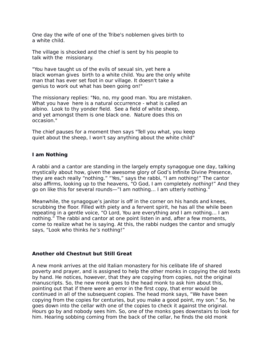One day the wife of one of the Tribe's noblemen gives birth to a white child.

The village is shocked and the chief is sent by his people to talk with the missionary.

"You have taught us of the evils of sexual sin, yet here a black woman gives birth to a white child. You are the only white man that has ever set foot in our village. It doesn't take a genius to work out what has been going on!"

The missionary replies: "No, no, my good man. You are mistaken. What you have here is a natural occurrence - what is called an albino. Look to thy yonder field. See a field of white sheep, and yet amongst them is one black one. Nature does this on occasion."

The chief pauses for a moment then says "Tell you what, you keep quiet about the sheep, I won't say anything about the white child"

### **I am Nothing**

A rabbi and a cantor are standing in the largely empty synagogue one day, talking mystically about how, given the awesome glory of God's Infinite Divine Presence, they are each really "nothing." "Yes," says the rabbi, "I am nothing!" The cantor also affirms, looking up to the heavens, "O God, I am completely nothing!" And they go on like this for several rounds—"I am nothing… I am utterly nothing."

Meanwhile, the synagogue's janitor is off in the corner on his hands and knees, scrubbing the floor. Filled with piety and a fervent spirit, he has all the while been repeating in a gentle voice, "O Lord, You are everything and I am nothing… I am nothing." The rabbi and cantor at one point listen in and, after a few moments, come to realize what he is saying. At this, the rabbi nudges the cantor and smugly says, "Look who thinks he's nothing!"

## **Another old Chestnut but Still Great**

A new monk arrives at the old Italian monastery for his celibate life of shared poverty and prayer, and is assigned to help the other monks in copying the old texts by hand. He notices, however, that they are copying from copies, not the original manuscripts. So, the new monk goes to the head monk to ask him about this, pointing out that if there were an error in the first copy, that error would be continued in all of the subsequent copies. The head monk says, "We have been copying from the copies for centuries, but you make a good point, my son." So, he goes down into the cellar with one of the copies to check it against the original. Hours go by and nobody sees him. So, one of the monks goes downstairs to look for him. Hearing sobbing coming from the back of the cellar, he finds the old monk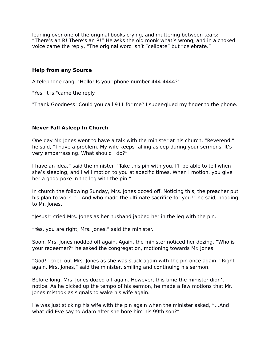leaning over one of the original books crying, and muttering between tears: "There's an R! There's an R!" He asks the old monk what's wrong, and in a choked voice came the reply, "The original word isn't "celibate" but "celebrate."

## **Help from any Source**

A telephone rang. "Hello! Is your phone number 444-4444?"

"Yes, it is,"came the reply.

"Thank Goodness! Could you call 911 for me? I super-glued my finger to the phone."

## **Never Fall Asleep In Church**

One day Mr. Jones went to have a talk with the minister at his church. "Reverend," he said, "I have a problem. My wife keeps falling asleep during your sermons. It's very embarrassing. What should I do?"

I have an idea," said the minister. "Take this pin with you. I'll be able to tell when she's sleeping, and I will motion to you at specific times. When I motion, you give her a good poke in the leg with the pin."

In church the following Sunday, Mrs. Jones dozed off. Noticing this, the preacher put his plan to work. "…And who made the ultimate sacrifice for you?" he said, nodding to Mr. Jones.

"Jesus!" cried Mrs. Jones as her husband jabbed her in the leg with the pin.

"Yes, you are right, Mrs. Jones," said the minister.

Soon, Mrs. Jones nodded off again. Again, the minister noticed her dozing. "Who is your redeemer?" he asked the congregation, motioning towards Mr. Jones.

"God!" cried out Mrs. Jones as she was stuck again with the pin once again. "Right again, Mrs. Jones," said the minister, smiling and continuing his sermon.

Before long, Mrs. Jones dozed off again. However, this time the minister didn't notice. As he picked up the tempo of his sermon, he made a few motions that Mr. Jones mistook as signals to wake his wife again.

He was just sticking his wife with the pin again when the minister asked, "…And what did Eve say to Adam after she bore him his 99th son?"